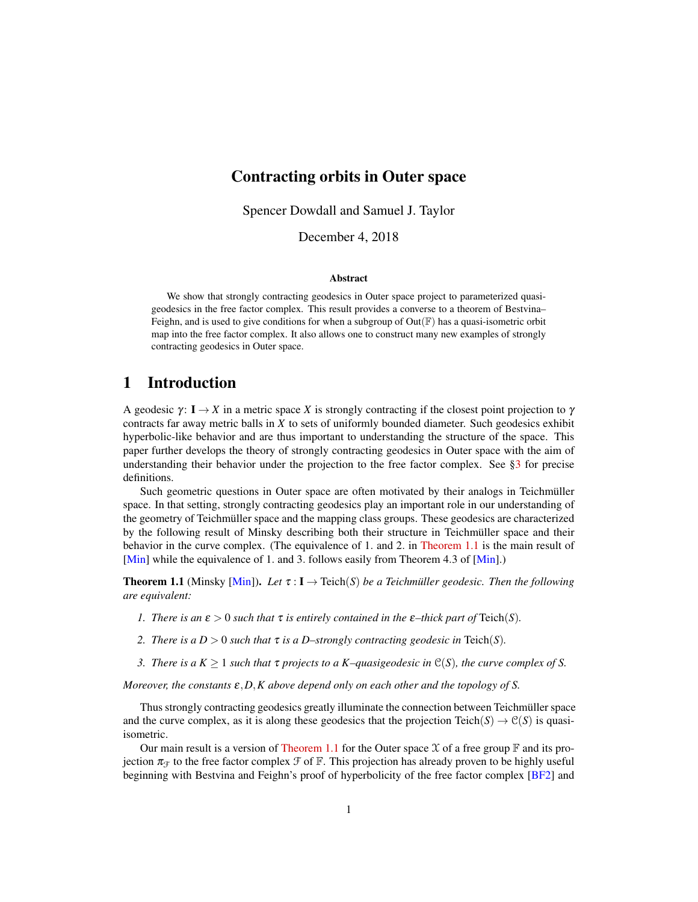## Contracting orbits in Outer space

Spencer Dowdall and Samuel J. Taylor

December 4, 2018

#### Abstract

We show that strongly contracting geodesics in Outer space project to parameterized quasigeodesics in the free factor complex. This result provides a converse to a theorem of Bestvina– Feighn, and is used to give conditions for when a subgroup of  $Out(\mathbb{F})$  has a quasi-isometric orbit map into the free factor complex. It also allows one to construct many new examples of strongly contracting geodesics in Outer space.

#### 1 Introduction

A geodesic  $\gamma: I \to X$  in a metric space *X* is strongly contracting if the closest point projection to  $\gamma$ contracts far away metric balls in *X* to sets of uniformly bounded diameter. Such geodesics exhibit hyperbolic-like behavior and are thus important to understanding the structure of the space. This paper further develops the theory of strongly contracting geodesics in Outer space with the aim of understanding their behavior under the projection to the free factor complex. See  $\S$ 3 for precise definitions.

Such geometric questions in Outer space are often motivated by their analogs in Teichmüller space. In that setting, strongly contracting geodesics play an important role in our understanding of the geometry of Teichmüller space and the mapping class groups. These geodesics are characterized by the following result of Minsky describing both their structure in Teichmüller space and their behavior in the curve complex. (The equivalence of 1. and 2. in [Theorem 1.1](#page-0-0) is the main result of [\[Min\]](#page-19-0) while the equivalence of 1. and 3. follows easily from Theorem 4.3 of [Min].)

<span id="page-0-0"></span>**Theorem 1.1** (Minsky [\[Min\]](#page-19-0)). Let  $\tau : I \to Teich(S)$  be a Teichmüller geodesic. Then the following *are equivalent:*

- *1. There is an*  $\varepsilon > 0$  *such that*  $\tau$  *is entirely contained in the*  $\varepsilon$ -thick part of Teich(*S*).
- *2. There is a*  $D > 0$  *such that*  $\tau$  *is a D–strongly contracting geodesic in* Teich(*S*)*.*
- *3. There is a*  $K \geq 1$  *such that*  $\tau$  *projects to a*  $K$ –*quasigeodesic in*  $\mathcal{C}(S)$ *, the curve complex of S.*

*Moreover, the constants* ε,*D*,*K above depend only on each other and the topology of S.*

Thus strongly contracting geodesics greatly illuminate the connection between Teichmüller space and the curve complex, as it is along these geodesics that the projection Teich( $S \rightarrow \mathcal{C}(S)$ ) is quasiisometric.

Our main result is a version of [Theorem 1.1](#page-0-0) for the Outer space  $\mathfrak X$  of a free group  $\mathbb F$  and its projection  $\pi_{\mathcal{F}}$  to the free factor complex  $\mathcal{F}$  of  $\mathbb{F}$ . This projection has already proven to be highly useful beginning with Bestvina and Feighn's proof of hyperbolicity of the free factor complex [\[BF2\]](#page-19-1) and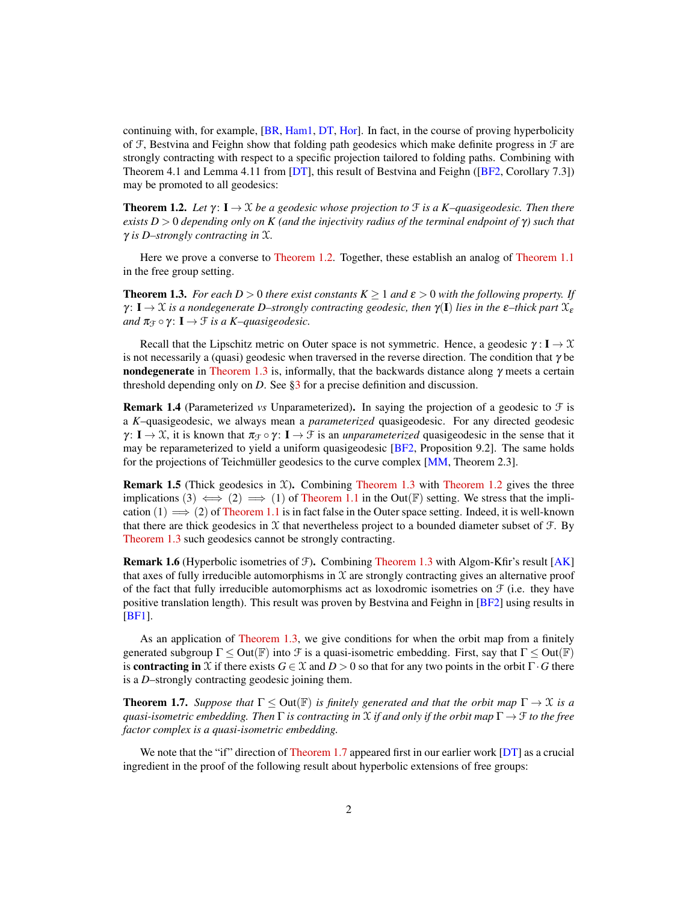continuing with, for example, [\[BR,](#page-19-2) [Ham1,](#page-19-3) [DT,](#page-19-4) [Hor\]](#page-19-5). In fact, in the course of proving hyperbolicity of  $F$ , Bestvina and Feighn show that folding path geodesics which make definite progress in  $F$  are strongly contracting with respect to a specific projection tailored to folding paths. Combining with Theorem 4.1 and Lemma 4.11 from [\[DT\]](#page-19-4), this result of Bestvina and Feighn ([\[BF2,](#page-19-1) Corollary 7.3]) may be promoted to all geodesics:

<span id="page-1-0"></span>**Theorem 1.2.** Let  $\gamma: I \to X$  be a geodesic whose projection to  $\mathcal F$  *is a K–quasigeodesic. Then there exists D* > 0 *depending only on K (and the injectivity radius of the terminal endpoint of* γ*) such that* γ *is D–strongly contracting in* X*.*

Here we prove a converse to [Theorem 1.2.](#page-1-0) Together, these establish an analog of [Theorem 1.1](#page-0-0) in the free group setting.

<span id="page-1-1"></span>**Theorem 1.3.** *For each D* > 0 *there exist constants*  $K \ge 1$  *and*  $\varepsilon > 0$  *with the following property. If*  $\gamma: I \to \mathfrak{X}$  *is a nondegenerate D–strongly contracting geodesic, then*  $\gamma(I)$  *lies in the*  $\varepsilon$ –*thick part*  $\mathfrak{X}_{\varepsilon}$ *and*  $\pi_{\mathcal{F}} \circ \gamma$ :  $\mathbf{I} \to \mathcal{F}$  *is a K–quasigeodesic.* 

Recall that the Lipschitz metric on Outer space is not symmetric. Hence, a geodesic  $\gamma : I \to \mathcal{X}$ is not necessarily a (quasi) geodesic when traversed in the reverse direction. The condition that  $\gamma$  be nondegenerate in [Theorem 1.3](#page-1-1) is, informally, that the backwards distance along  $\gamma$  meets a certain threshold depending only on *D*. See [§3](#page-5-0) for a precise definition and discussion.

**Remark 1.4** (Parameterized *vs* Unparameterized). In saying the projection of a geodesic to  $\mathcal{F}$  is a *K*–quasigeodesic, we always mean a *parameterized* quasigeodesic. For any directed geodesic  $\gamma: I \to X$ , it is known that  $\pi_{\mathcal{F}} \circ \gamma: I \to \mathcal{F}$  is an *unparameterized* quasigeodesic in the sense that it may be reparameterized to yield a uniform quasigeodesic [\[BF2,](#page-19-1) Proposition 9.2]. The same holds for the projections of Teichmüller geodesics to the curve complex [\[MM,](#page-19-6) Theorem 2.3].

**Remark 1.5** (Thick geodesics in  $X$ ). Combining [Theorem 1.3](#page-1-1) with [Theorem 1.2](#page-1-0) gives the three implications (3)  $\iff$  (2)  $\implies$  (1) of [Theorem 1.1](#page-0-0) in the Out(F) setting. We stress that the implication  $(1) \implies (2)$  of [Theorem 1.1](#page-0-0) is in fact false in the Outer space setting. Indeed, it is well-known that there are thick geodesics in  $X$  that nevertheless project to a bounded diameter subset of  $\mathcal{F}$ . By [Theorem 1.3](#page-1-1) such geodesics cannot be strongly contracting.

**Remark 1.6** (Hyperbolic isometries of  $\mathcal{F}$ ). Combining [Theorem 1.3](#page-1-1) with Algom-Kfir's result [\[AK\]](#page-18-0) that axes of fully irreducible automorphisms in  $X$  are strongly contracting gives an alternative proof of the fact that fully irreducible automorphisms act as loxodromic isometries on  $\mathcal F$  (i.e. they have positive translation length). This result was proven by Bestvina and Feighn in [\[BF2\]](#page-19-1) using results in [\[BF1\]](#page-19-7).

As an application of [Theorem 1.3,](#page-1-1) we give conditions for when the orbit map from a finitely generated subgroup  $\Gamma \leq Out(\mathbb{F})$  into  $\mathcal F$  is a quasi-isometric embedding. First, say that  $\Gamma \leq Out(\mathbb{F})$ is **contracting in** X if there exists  $G \in \mathcal{X}$  and  $D > 0$  so that for any two points in the orbit  $\Gamma \cdot G$  there is a *D*–strongly contracting geodesic joining them.

<span id="page-1-2"></span>**Theorem 1.7.** *Suppose that*  $\Gamma \leq Out(\mathbb{F})$  *is finitely generated and that the orbit map*  $\Gamma \to \mathcal{X}$  *is a quasi-isometric embedding. Then* Γ *is contracting in* X *if and only if the orbit map* Γ → F *to the free factor complex is a quasi-isometric embedding.*

We note that the "if" direction of [Theorem 1.7](#page-1-2) appeared first in our earlier work [\[DT\]](#page-19-4) as a crucial ingredient in the proof of the following result about hyperbolic extensions of free groups: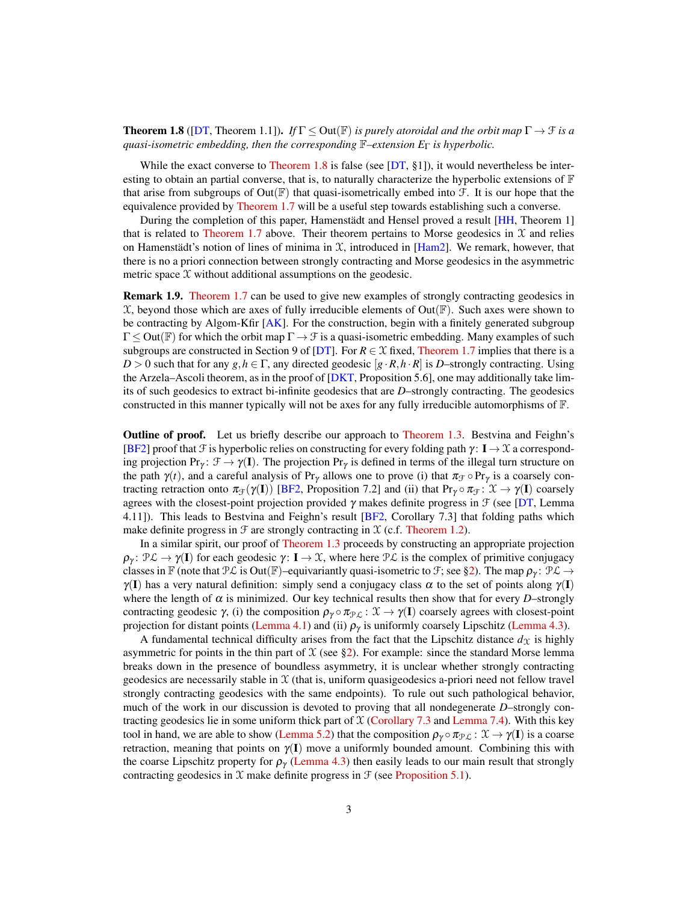<span id="page-2-0"></span>**Theorem 1.8** ([\[DT,](#page-19-4) Theorem 1.1]). *If*  $\Gamma \leq$  Out( $\mathbb{F}$ ) *is purely atoroidal and the orbit map*  $\Gamma \to \mathcal{F}$  *is a quasi-isometric embedding, then the corresponding* F*–extension E*<sup>Γ</sup> *is hyperbolic.*

While the exact converse to [Theorem 1.8](#page-2-0) is false (see  $[DT, §1]$  $[DT, §1]$ ), it would nevertheless be interesting to obtain an partial converse, that is, to naturally characterize the hyperbolic extensions of  $\mathbb F$ that arise from subgroups of  $Out(\mathbb{F})$  that quasi-isometrically embed into  $\mathcal{F}$ . It is our hope that the equivalence provided by [Theorem 1.7](#page-1-2) will be a useful step towards establishing such a converse.

During the completion of this paper, Hamenstädt and Hensel proved a result [\[HH,](#page-19-8) Theorem 1] that is related to [Theorem 1.7](#page-1-2) above. Their theorem pertains to Morse geodesics in  $\mathfrak X$  and relies on Hamenstädt's notion of lines of minima in  $X$ , introduced in  $[Ham2]$ . We remark, however, that there is no a priori connection between strongly contracting and Morse geodesics in the asymmetric metric space  $X$  without additional assumptions on the geodesic.

Remark 1.9. [Theorem 1.7](#page-1-2) can be used to give new examples of strongly contracting geodesics in  $\mathfrak X$ , beyond those which are axes of fully irreducible elements of Out( $\mathbb F$ ). Such axes were shown to be contracting by Algom-Kfir  $[AK]$ . For the construction, begin with a finitely generated subgroup  $\Gamma \leq Out(\mathbb{F})$  for which the orbit map  $\Gamma \to \mathcal{F}$  is a quasi-isometric embedding. Many examples of such subgroups are constructed in Section 9 of [\[DT\]](#page-19-4). For  $R \in \mathcal{X}$  fixed, [Theorem 1.7](#page-1-2) implies that there is a  $D > 0$  such that for any  $g, h \in \Gamma$ , any directed geodesic  $[g \cdot R, h \cdot R]$  is *D*–strongly contracting. Using the Arzela–Ascoli theorem, as in the proof of  $[DKT,$  Proposition 5.6], one may additionally take limits of such geodesics to extract bi-infinite geodesics that are *D*–strongly contracting. The geodesics constructed in this manner typically will not be axes for any fully irreducible automorphisms of  $\mathbb{F}$ .

**Outline of proof.** Let us briefly describe our approach to [Theorem 1.3.](#page-1-1) Bestvina and Feighn's [\[BF2\]](#page-19-1) proof that F is hyperbolic relies on constructing for every folding path  $\gamma: I \to \mathcal{X}$  a corresponding projection Pr<sub>γ</sub>:  $\mathcal{F} \to \gamma(\mathbf{I})$ . The projection Pr<sub>γ</sub> is defined in terms of the illegal turn structure on the path  $\gamma(t)$ , and a careful analysis of Pr<sub>γ</sub> allows one to prove (i) that  $\pi_{\mathcal{F}} \circ Pr_{\gamma}$  is a coarsely contracting retraction onto  $\pi_{\mathcal{F}}(\gamma(\mathbf{I}))$  [\[BF2,](#page-19-1) Proposition 7.2] and (ii) that Pr<sub>γ</sub>  $\pi_{\mathcal{F}}: \mathcal{X} \to \gamma(\mathbf{I})$  coarsely agrees with the closest-point projection provided  $\gamma$  makes definite progress in  $\mathcal F$  (see [\[DT,](#page-19-4) Lemma 4.11]). This leads to Bestvina and Feighn's result [\[BF2,](#page-19-1) Corollary 7.3] that folding paths which make definite progress in  $\mathcal F$  are strongly contracting in  $\mathcal X$  (c.f. [Theorem 1.2\)](#page-1-0).

In a similar spirit, our proof of [Theorem 1.3](#page-1-1) proceeds by constructing an appropriate projection  $\rho_{\gamma}$ :  $\mathcal{P} \mathcal{L} \to \gamma(\mathbf{I})$  for each geodesic  $\gamma: \mathbf{I} \to \mathcal{X}$ , where here  $\mathcal{P} \mathcal{L}$  is the complex of primitive conjugacy classes in F (note that  $\mathcal{PL}$  is Out(F)–equivariantly quasi-isometric to  $\mathcal{F}$ ; see [§2\)](#page-3-0). The map  $\rho_{\gamma}$ :  $\mathcal{PL} \rightarrow$  $\gamma(I)$  has a very natural definition: simply send a conjugacy class  $\alpha$  to the set of points along  $\gamma(I)$ where the length of  $\alpha$  is minimized. Our key technical results then show that for every *D*–strongly contracting geodesic  $\gamma$ , (i) the composition  $\rho_{\gamma} \circ \pi_{\mathcal{PL}} : \mathcal{X} \to \gamma(I)$  coarsely agrees with closest-point projection for distant points [\(Lemma 4.1\)](#page-7-0) and (ii)  $\rho_{\gamma}$  is uniformly coarsely Lipschitz [\(Lemma 4.3\)](#page-9-0).

A fundamental technical difficulty arises from the fact that the Lipschitz distance  $d<sub>X</sub>$  is highly asymmetric for points in the thin part of  $\mathfrak X$  (see [§2\)](#page-3-0). For example: since the standard Morse lemma breaks down in the presence of boundless asymmetry, it is unclear whether strongly contracting geodesics are necessarily stable in  $X$  (that is, uniform quasigeodesics a-priori need not fellow travel strongly contracting geodesics with the same endpoints). To rule out such pathological behavior, much of the work in our discussion is devoted to proving that all nondegenerate *D*–strongly contracting geodesics lie in some uniform thick part of  $X$  [\(Corollary 7.3](#page-15-0) and [Lemma 7.4\)](#page-16-0). With this key tool in hand, we are able to show [\(Lemma 5.2\)](#page-11-0) that the composition  $\rho_\gamma \circ \pi_{\mathcal{PL}} : \mathcal{X} \to \gamma(I)$  is a coarse retraction, meaning that points on  $\gamma(I)$  move a uniformly bounded amount. Combining this with the coarse Lipschitz property for  $\rho_{\gamma}$  [\(Lemma 4.3\)](#page-9-0) then easily leads to our main result that strongly contracting geodesics in  $X$  make definite progress in  $\mathcal F$  (see [Proposition 5.1\)](#page-11-1).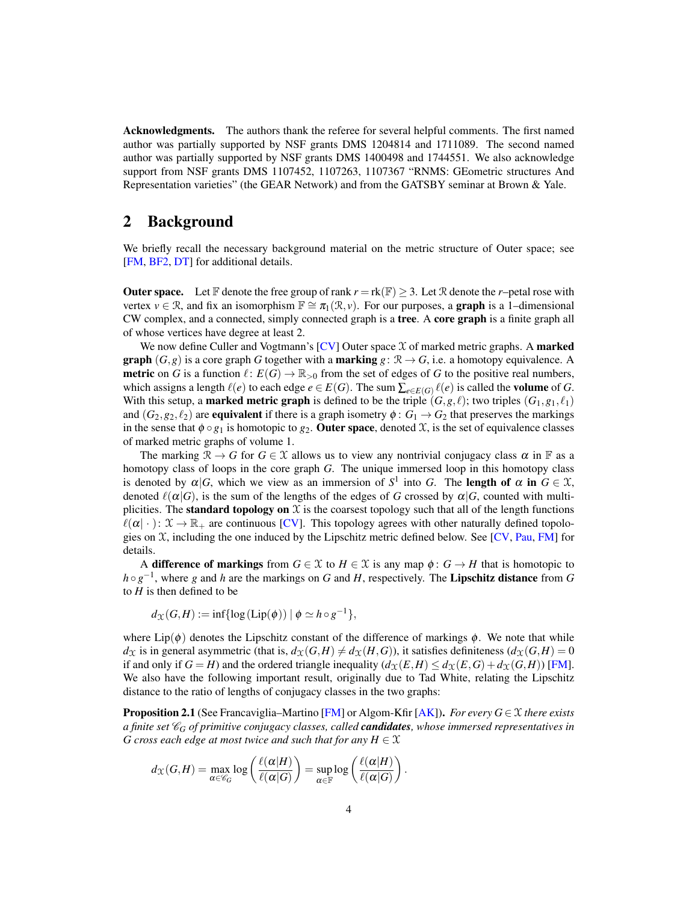Acknowledgments. The authors thank the referee for several helpful comments. The first named author was partially supported by NSF grants DMS 1204814 and 1711089. The second named author was partially supported by NSF grants DMS 1400498 and 1744551. We also acknowledge support from NSF grants DMS 1107452, 1107263, 1107367 "RNMS: GEometric structures And Representation varieties" (the GEAR Network) and from the GATSBY seminar at Brown & Yale.

# <span id="page-3-0"></span>2 Background

We briefly recall the necessary background material on the metric structure of Outer space; see [\[FM,](#page-19-11) [BF2,](#page-19-1) [DT\]](#page-19-4) for additional details.

**Outer space.** Let F denote the free group of rank  $r = \text{rk}(\mathbb{F}) \geq 3$ . Let R denote the *r*–petal rose with vertex  $v \in \mathcal{R}$ , and fix an isomorphism  $\mathbb{F} \cong \pi_1(\mathcal{R}, v)$ . For our purposes, a **graph** is a 1–dimensional CW complex, and a connected, simply connected graph is a tree. A core graph is a finite graph all of whose vertices have degree at least 2.

We now define Culler and Vogtmann's  $[CV]$  Outer space  $\mathcal X$  of marked metric graphs. A marked **graph**  $(G, g)$  is a core graph *G* together with a **marking**  $g: \mathcal{R} \to G$ , i.e. a homotopy equivalence. A **metric** on *G* is a function  $\ell : E(G) \to \mathbb{R}_{>0}$  from the set of edges of *G* to the positive real numbers, which assigns a length  $\ell(e)$  to each edge  $e \in E(G)$ . The sum  $\sum_{e \in E(G)} \ell(e)$  is called the **volume** of *G*. With this setup, a **marked metric graph** is defined to be the triple  $(G, g, \ell)$ ; two triples  $(G_1, g_1, \ell_1)$ and  $(G_2, g_2, \ell_2)$  are **equivalent** if there is a graph isometry  $\phi : G_1 \to G_2$  that preserves the markings in the sense that  $\phi \circ g_1$  is homotopic to  $g_2$ . **Outer space**, denoted X, is the set of equivalence classes of marked metric graphs of volume 1.

The marking  $\mathcal{R} \to G$  for  $G \in \mathcal{X}$  allows us to view any nontrivial conjugacy class  $\alpha$  in F as a homotopy class of loops in the core graph *G*. The unique immersed loop in this homotopy class is denoted by  $\alpha|G$ , which we view as an immersion of  $S^1$  into G. The **length of**  $\alpha$  in  $G \in \mathcal{X}$ , denoted  $\ell(\alpha|G)$ , is the sum of the lengths of the edges of *G* crossed by  $\alpha|G$ , counted with multiplicities. The **standard topology on**  $\mathcal X$  is the coarsest topology such that all of the length functions  $\ell(\alpha | \cdot)$ :  $\mathfrak{X} \to \mathbb{R}_+$  are continuous [\[CV\]](#page-19-12). This topology agrees with other naturally defined topologies on  $X$ , including the one induced by the Lipschitz metric defined below. See [\[CV,](#page-19-12) [Pau,](#page-19-13) [FM\]](#page-19-11) for details.

A difference of markings from  $G \in \mathcal{X}$  to  $H \in \mathcal{X}$  is any map  $\phi: G \to H$  that is homotopic to *h* ◦ *g*<sup>-1</sup>, where *g* and *h* are the markings on *G* and *H*, respectively. The Lipschitz distance from *G* to *H* is then defined to be

$$
d_{\mathcal{X}}(G,H) := \inf \{ \log(\text{Lip}(\phi)) \mid \phi \simeq h \circ g^{-1} \},
$$

where Lip( $\phi$ ) denotes the Lipschitz constant of the difference of markings  $\phi$ . We note that while  $d_{\mathcal{X}}$  is in general asymmetric (that is,  $d_{\mathcal{X}}(G,H) \neq d_{\mathcal{X}}(H,G)$ ), it satisfies definiteness  $(d_{\mathcal{X}}(G,H) = 0$ if and only if  $G = H$ ) and the ordered triangle inequality  $(d_X(E, H) \leq d_X(E, G) + d_X(G, H))$  [\[FM\]](#page-19-11). We also have the following important result, originally due to Tad White, relating the Lipschitz distance to the ratio of lengths of conjugacy classes in the two graphs:

<span id="page-3-1"></span>Proposition 2.1 (See Francaviglia–Martino [\[FM\]](#page-19-11) or Algom-Kfir [\[AK\]](#page-18-0)). *For every G* ∈ X *there exists a finite set* C*<sup>G</sup> of primitive conjugacy classes, called candidates, whose immersed representatives in G cross each edge at most twice and such that for any*  $H \in \mathcal{X}$ 

$$
d_{\mathcal{X}}(G,H) = \max_{\alpha \in \mathscr{C}_G} \log \left( \frac{\ell(\alpha|H)}{\ell(\alpha|G)} \right) = \sup_{\alpha \in \mathbb{F}} \log \left( \frac{\ell(\alpha|H)}{\ell(\alpha|G)} \right).
$$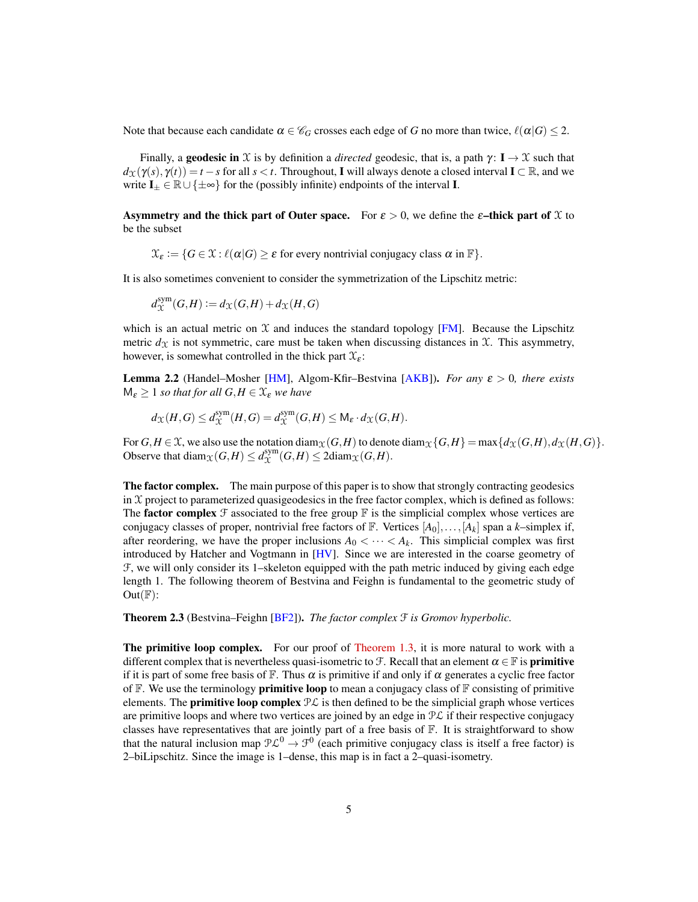Note that because each candidate  $\alpha \in \mathcal{C}_G$  crosses each edge of *G* no more than twice,  $\ell(\alpha|G) \leq 2$ .

Finally, a **geodesic in** X is by definition a *directed* geodesic, that is, a path  $\gamma$ :  $I \rightarrow \mathcal{X}$  such that  $d_Y(\gamma(s), \gamma(t)) = t - s$  for all  $s < t$ . Throughout, I will always denote a closed interval I ⊂ R, and we write  $I_{\pm} \in \mathbb{R} \cup \{\pm \infty\}$  for the (possibly infinite) endpoints of the interval **I**.

Asymmetry and the thick part of Outer space. For  $\varepsilon > 0$ , we define the  $\varepsilon$ -thick part of X to be the subset

 $\mathfrak{X}_{\varepsilon} := \{ G \in \mathfrak{X} : \ell(\alpha | G) \ge \varepsilon \}$  for every nontrivial conjugacy class  $\alpha$  in  $\mathbb{F} \}.$ 

It is also sometimes convenient to consider the symmetrization of the Lipschitz metric:

$$
d_\mathfrak{X}^\mathrm{sym}(G,H):=d_\mathfrak{X}(G,H)+d_\mathfrak{X}(H,G)
$$

which is an actual metric on  $X$  and induces the standard topology [\[FM\]](#page-19-11). Because the Lipschitz metric  $d_X$  is not symmetric, care must be taken when discussing distances in  $X$ . This asymmetry, however, is somewhat controlled in the thick part  $\mathfrak{X}_{\varepsilon}$ :

<span id="page-4-0"></span>Lemma 2.2 (Handel–Mosher [\[HM\]](#page-19-14), Algom-Kfir–Bestvina [\[AKB\]](#page-18-1)). *For any* ε > 0*, there exists*  $M_{\varepsilon} \geq 1$  *so that for all*  $G, H \in \mathcal{X}_{\varepsilon}$  *we have* 

$$
d_{\mathcal{X}}(H,G) \leq d_{\mathcal{X}}^{\text{sym}}(H,G) = d_{\mathcal{X}}^{\text{sym}}(G,H) \leq \mathsf{M}_{\varepsilon} \cdot d_{\mathcal{X}}(G,H).
$$

For  $G, H \in \mathcal{X}$ , we also use the notation diam $\chi(G, H)$  to denote diam $\chi\{G, H\} = \max\{d\chi(G, H), d\chi(H, G)\}\$ . Observe that diam $\chi(G,H) \le d_{\chi}^{\text{sym}}$  $\chi^{\text{sym}}(G,H) \leq 2 \text{diam}_{\mathcal{X}}(G,H).$ 

**The factor complex.** The main purpose of this paper is to show that strongly contracting geodesics in  $\mathcal X$  project to parameterized quasigeodesics in the free factor complex, which is defined as follows: The **factor complex**  $\mathcal F$  associated to the free group  $\mathbb F$  is the simplicial complex whose vertices are conjugacy classes of proper, nontrivial free factors of F. Vertices [*A*0],...,[*A<sup>k</sup>* ] span a *k*–simplex if, after reordering, we have the proper inclusions  $A_0 < \cdots < A_k$ . This simplicial complex was first introduced by Hatcher and Vogtmann in [\[HV\]](#page-19-15). Since we are interested in the coarse geometry of F, we will only consider its 1–skeleton equipped with the path metric induced by giving each edge length 1. The following theorem of Bestvina and Feighn is fundamental to the geometric study of  $Out(\mathbb{F})$ :

Theorem 2.3 (Bestvina–Feighn [\[BF2\]](#page-19-1)). *The factor complex* F *is Gromov hyperbolic.*

**The primitive loop complex.** For our proof of [Theorem 1.3,](#page-1-1) it is more natural to work with a different complex that is nevertheless quasi-isometric to F. Recall that an element  $\alpha \in \mathbb{F}$  is **primitive** if it is part of some free basis of F. Thus  $\alpha$  is primitive if and only if  $\alpha$  generates a cyclic free factor of  $\mathbb F$ . We use the terminology **primitive loop** to mean a conjugacy class of  $\mathbb F$  consisting of primitive elements. The **primitive loop complex**  $\mathcal{P}\mathcal{L}$  is then defined to be the simplicial graph whose vertices are primitive loops and where two vertices are joined by an edge in  $\mathcal{PL}$  if their respective conjugacy classes have representatives that are jointly part of a free basis of  $\mathbb{F}$ . It is straightforward to show that the natural inclusion map  $P\mathcal{L}^0 \to \mathcal{F}^0$  (each primitive conjugacy class is itself a free factor) is 2–biLipschitz. Since the image is 1–dense, this map is in fact a 2–quasi-isometry.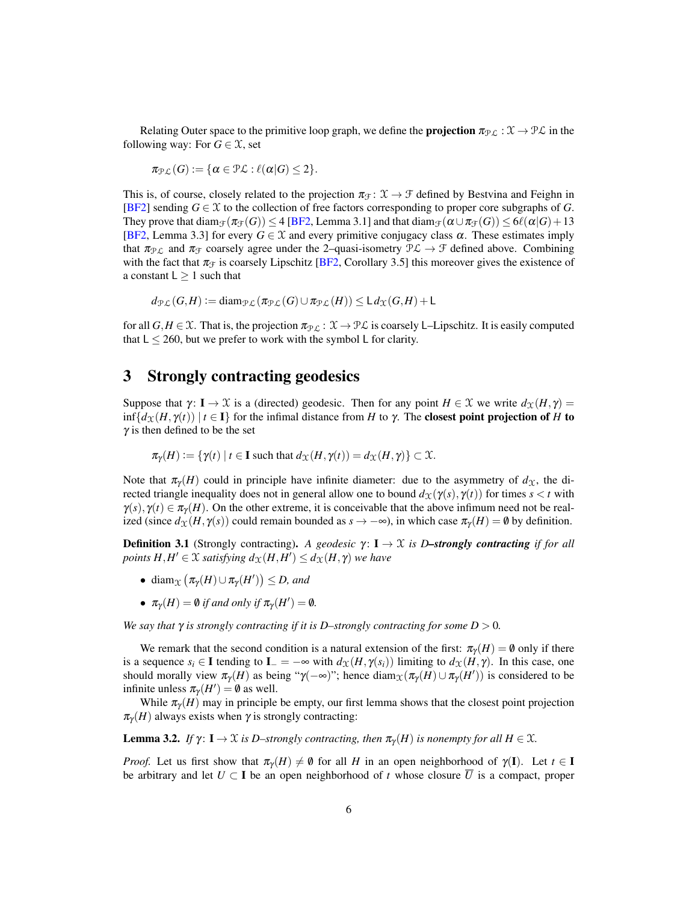Relating Outer space to the primitive loop graph, we define the **projection**  $\pi_{\mathcal{PL}} : \mathcal{X} \to \mathcal{PL}$  in the following way: For  $G \in \mathcal{X}$ , set

$$
\pi_{\mathcal{PL}}(G) := \{ \alpha \in \mathcal{PL} : \ell(\alpha|G) \leq 2 \}.
$$

This is, of course, closely related to the projection  $\pi_{\mathcal{F}} : \mathcal{X} \to \mathcal{F}$  defined by Bestvina and Feighn in [\[BF2\]](#page-19-1) sending  $G \in \mathcal{X}$  to the collection of free factors corresponding to proper core subgraphs of *G*. They prove that  $\text{diam}_{\mathcal{F}}(\pi_{\mathcal{F}}(G)) \leq 4$  [\[BF2,](#page-19-1) Lemma 3.1] and that  $\text{diam}_{\mathcal{F}}(\alpha \cup \pi_{\mathcal{F}}(G)) \leq 6\ell(\alpha|G)+13$ [\[BF2,](#page-19-1) Lemma 3.3] for every  $G \in \mathcal{X}$  and every primitive conjugacy class  $\alpha$ . These estimates imply that  $\pi_{\mathcal{PL}}$  and  $\pi_{\mathcal{F}}$  coarsely agree under the 2–quasi-isometry  $\mathcal{PL} \to \mathcal{F}$  defined above. Combining with the fact that  $\pi_{\mathcal{F}}$  is coarsely Lipschitz [\[BF2,](#page-19-1) Corollary 3.5] this moreover gives the existence of a constant  $L \geq 1$  such that

$$
d_{\mathcal{PL}}(G,H) := \text{diam}_{\mathcal{PL}}(\pi_{\mathcal{PL}}(G) \cup \pi_{\mathcal{PL}}(H)) \leq L d_{\mathcal{X}}(G,H) + L
$$

for all  $G, H \in \mathcal{X}$ . That is, the projection  $\pi_{\mathcal{PL}} : \mathcal{X} \to \mathcal{PL}$  is coarsely L–Lipschitz. It is easily computed that  $L \le 260$ , but we prefer to work with the symbol L for clarity.

#### <span id="page-5-0"></span>3 Strongly contracting geodesics

Suppose that  $\gamma: I \to \mathcal{X}$  is a (directed) geodesic. Then for any point  $H \in \mathcal{X}$  we write  $d_{\mathcal{X}}(H, \gamma) =$  $\inf\{d_{\mathcal{X}}(H, \gamma(t)) \mid t \in \mathbf{I}\}\$  for the infimal distance from *H* to  $\gamma$ . The **closest point projection of** *H* **to**  $\gamma$  is then defined to be the set

$$
\pi_{\gamma}(H) := \{ \gamma(t) \mid t \in \mathbf{I} \text{ such that } d_{\mathcal{X}}(H, \gamma(t)) = d_{\mathcal{X}}(H, \gamma) \} \subset \mathcal{X}.
$$

Note that  $\pi_{\gamma}(H)$  could in principle have infinite diameter: due to the asymmetry of  $d_{\gamma}$ , the directed triangle inequality does not in general allow one to bound  $d_{\mathcal{X}}(\gamma(s), \gamma(t))$  for times  $s < t$  with  $\gamma(s)$ ,  $\gamma(t) \in \pi_{\gamma}(H)$ . On the other extreme, it is conceivable that the above infimum need not be realized (since  $d_{\mathcal{X}}(H, \gamma(s))$  could remain bounded as  $s \to -\infty$ ), in which case  $\pi_{\gamma}(H) = \emptyset$  by definition.

**Definition 3.1** (Strongly contracting). *A geodesic γ*: **I**  $\rightarrow$  *X is D*–strongly contracting *if for all points*  $H, H' \in \mathcal{X}$  *satisfying*  $d_{\mathcal{X}}(H, H') \leq d_{\mathcal{X}}(H, \gamma)$  *we have* 

- diam<sub> $\chi$ </sub>  $(\pi_{\gamma}(H) \cup \pi_{\gamma}(H')) \leq D$ , and
- $\pi_{\gamma}(H) = \emptyset$  *if and only if*  $\pi_{\gamma}(H') = \emptyset$ *.*

*We say that*  $\gamma$  *is strongly contracting if it is D–strongly contracting for some*  $D > 0$ *.* 

We remark that the second condition is a natural extension of the first:  $\pi_{\gamma}(H) = \emptyset$  only if there is a sequence  $s_i \in I$  tending to  $I = -\infty$  with  $d_{\mathcal{X}}(H, \gamma(s_i))$  limiting to  $d_{\mathcal{X}}(H, \gamma)$ . In this case, one should morally view  $\pi_{\gamma}(H)$  as being " $\gamma(-\infty)$ "; hence diam $\chi(\pi_{\gamma}(H) \cup \pi_{\gamma}(H'))$  is considered to be infinite unless  $\pi_{\gamma}(H') = \emptyset$  as well.

While  $\pi_{\gamma}(H)$  may in principle be empty, our first lemma shows that the closest point projection  $\pi_{\gamma}(H)$  always exists when  $\gamma$  is strongly contracting:

<span id="page-5-1"></span>**Lemma 3.2.** *If*  $\gamma$ : **I**  $\rightarrow \mathcal{X}$  *is D–strongly contracting, then*  $\pi_{\gamma}(H)$  *is nonempty for all*  $H \in \mathcal{X}$ *.* 

*Proof.* Let us first show that  $\pi_{\gamma}(H) \neq \emptyset$  for all *H* in an open neighborhood of  $\gamma(I)$ . Let  $t \in I$ be arbitrary and let  $U \subset I$  be an open neighborhood of *t* whose closure  $\overline{U}$  is a compact, proper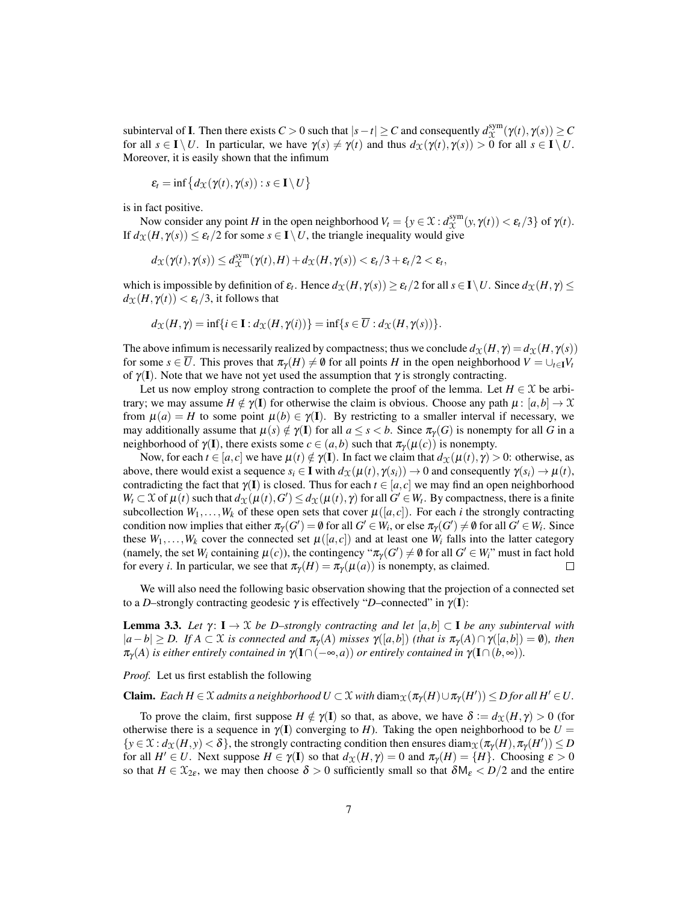subinterval of **I**. Then there exists  $C > 0$  such that  $|s - t| \ge C$  and consequently  $d_{\Upsilon}^{\text{sym}}$  $\chi^{\text{sym}}(\gamma(t), \gamma(s)) \geq C$ for all  $s \in I \setminus U$ . In particular, we have  $\gamma(s) \neq \gamma(t)$  and thus  $d_{\mathcal{X}}(\gamma(t), \gamma(s)) > 0$  for all  $s \in I \setminus U$ . Moreover, it is easily shown that the infimum

$$
\varepsilon_t = \inf\left\{d_{\mathcal{X}}(\gamma(t), \gamma(s)) : s \in \mathbf{I} \setminus U\right\}
$$

is in fact positive.

Now consider any point *H* in the open neighborhood  $V_t = \{y \in \mathfrak{X} : d_{\mathfrak{X}}^{\text{sym}}\}$  $\chi^{\text{sym}}(y, \gamma(t)) < \varepsilon_t/3$  of  $\gamma(t)$ . If  $d_{\mathcal{X}}(H, \gamma(s)) \leq \varepsilon_t/2$  for some  $s \in I \setminus U$ , the triangle inequality would give

$$
d_{\mathcal{X}}(\gamma(t),\gamma(s)) \leq d_{\mathcal{X}}^{\text{sym}}(\gamma(t),H) + d_{\mathcal{X}}(H,\gamma(s)) < \varepsilon_t/3 + \varepsilon_t/2 < \varepsilon_t,
$$

which is impossible by definition of  $\varepsilon_t$ . Hence  $d_{\mathfrak{X}}(H, \gamma(s)) \geq \varepsilon_t/2$  for all  $s \in I \setminus U$ . Since  $d_{\mathfrak{X}}(H, \gamma) \leq$  $d_{\mathcal{X}}(H, \gamma(t)) < \varepsilon_t/3$ , it follows that

$$
d_{\mathfrak{X}}(H,\gamma)=\inf\{i\in\mathbf{I}:d_{\mathfrak{X}}(H,\gamma(i))\}=\inf\{s\in\overline{U}:d_{\mathfrak{X}}(H,\gamma(s))\}.
$$

The above infimum is necessarily realized by compactness; thus we conclude  $d_{\mathcal{X}}(H, \gamma) = d_{\mathcal{X}}(H, \gamma(s))$ for some  $s \in \overline{U}$ . This proves that  $\pi_{\gamma}(H) \neq \emptyset$  for all points *H* in the open neighborhood  $V = \bigcup_{t \in \mathbf{I}} V_t$ of  $\gamma(I)$ . Note that we have not yet used the assumption that  $\gamma$  is strongly contracting.

Let us now employ strong contraction to complete the proof of the lemma. Let  $H \in \mathcal{X}$  be arbitrary; we may assume  $H \notin \gamma(I)$  for otherwise the claim is obvious. Choose any path  $\mu : [a,b] \to \mathfrak{X}$ from  $\mu(a) = H$  to some point  $\mu(b) \in \gamma(I)$ . By restricting to a smaller interval if necessary, we may additionally assume that  $\mu(s) \notin \gamma(I)$  for all  $a \leq s < b$ . Since  $\pi_\gamma(G)$  is nonempty for all G in a neighborhood of  $\gamma(\mathbf{I})$ , there exists some  $c \in (a,b)$  such that  $\pi_{\gamma}(\mu(c))$  is nonempty.

Now, for each  $t \in [a, c]$  we have  $\mu(t) \notin \gamma(I)$ . In fact we claim that  $d_{\mathcal{X}}(\mu(t), \gamma) > 0$ : otherwise, as above, there would exist a sequence  $s_i \in \mathbf{I}$  with  $d_{\mathcal{X}}(\mu(t), \gamma(s_i)) \to 0$  and consequently  $\gamma(s_i) \to \mu(t)$ , contradicting the fact that  $\gamma(I)$  is closed. Thus for each  $t \in [a, c]$  we may find an open neighborhood  $W_t \subset \mathcal{X}$  of  $\mu(t)$  such that  $d_{\mathcal{X}}(\mu(t), G') \leq d_{\mathcal{X}}(\mu(t), \gamma)$  for all  $G' \in W_t$ . By compactness, there is a finite subcollection  $W_1, \ldots, W_k$  of these open sets that cover  $\mu([a, c])$ . For each *i* the strongly contracting condition now implies that either  $\pi_\gamma(G') = \emptyset$  for all  $G' \in W_i$ , or else  $\pi_\gamma(G') \neq \emptyset$  for all  $G' \in W_i$ . Since these  $W_1, \ldots, W_k$  cover the connected set  $\mu([a, c])$  and at least one  $W_i$  falls into the latter category (namely, the set  $W_i$  containing  $\mu(c)$ ), the contingency " $\pi_\gamma(G') \neq \emptyset$  for all  $G' \in W_i$ " must in fact hold for every *i*. In particular, we see that  $\pi_{\gamma}(H) = \pi_{\gamma}(\mu(a))$  is nonempty, as claimed.  $\Box$ 

We will also need the following basic observation showing that the projection of a connected set to a *D*–strongly contracting geodesic  $\gamma$  is effectively "*D*–connected" in  $\gamma(I)$ :

<span id="page-6-0"></span>**Lemma 3.3.** Let  $\gamma$ :  $I \rightarrow \mathcal{X}$  *be D–strongly contracting and let* [ $a, b$ ] ⊂ I *be any subinterval with*  $|a-b| \geq D$ . If  $A \subset \mathcal{X}$  is connected and  $\pi_{\gamma}(A)$  misses  $\gamma([a,b])$  *(that is*  $\pi_{\gamma}(A) \cap \gamma([a,b]) = \emptyset$ *), then*  $\pi_{\gamma}(A)$  *is either entirely contained in*  $\gamma(\Gamma \cap (-\infty, a))$  *or entirely contained in*  $\gamma(\Gamma \cap (b, \infty))$ *.* 

*Proof.* Let us first establish the following

**Claim.** *Each*  $H \in \mathcal{X}$  *admits a neighborhood*  $U \subset \mathcal{X}$  *with* diam $\chi(\pi_Y(H) \cup \pi_Y(H')) \leq D$  for all  $H' \in U$ .

To prove the claim, first suppose  $H \notin \gamma(I)$  so that, as above, we have  $\delta := d_{\mathcal{X}}(H, \gamma) > 0$  (for otherwise there is a sequence in  $\gamma(I)$  converging to *H*). Taking the open neighborhood to be  $U =$  $\{y \in \mathcal{X} : d_{\mathcal{X}}(H, y) < \delta\}$ , the strongly contracting condition then ensures diam $\chi(\pi_Y(H), \pi_Y(H')) \leq D$ for all  $H' \in U$ . Next suppose  $H \in \gamma(I)$  so that  $d_{\mathcal{X}}(H, \gamma) = 0$  and  $\pi_{\gamma}(H) = \{H\}$ . Choosing  $\varepsilon > 0$ so that  $H \in \mathcal{X}_{2\epsilon}$ , we may then choose  $\delta > 0$  sufficiently small so that  $\delta M_{\epsilon} < D/2$  and the entire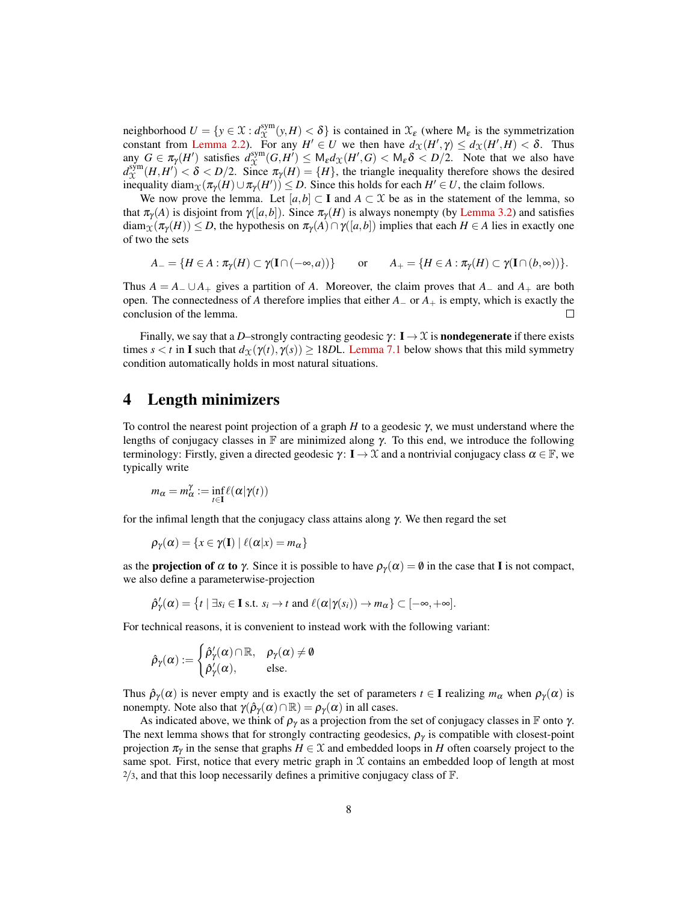neighborhood  $U = \{y \in \mathfrak{X} : d_{\Upsilon}^{\text{sym}}\}$  $\chi^{\text{sym}}(y,H) < \delta$  is contained in  $\mathcal{X}_{\varepsilon}$  (where  $M_{\varepsilon}$  is the symmetrization constant from [Lemma 2.2\)](#page-4-0). For any  $H' \in U$  we then have  $d_{\mathfrak{X}}(H', \gamma) \leq d_{\mathfrak{X}}(H', H) < \delta$ . Thus any  $G \in \pi_{\gamma}(H')$  satisfies  $d_{\mathcal{X}}^{\text{sym}}$  $\lim_{\delta \to 0} G \in \pi_{\gamma}(H')$  satisfies  $d_{X}^{\text{sym}}(G,H') \leq M_{\epsilon}d_{X}(H',G) < M_{\epsilon} \delta < D/2$ . Note that we also have  $d_{\mathcal{X}}^{\text{sym}}(H, H') < \delta < D/2$ . Since  $\pi_{\gamma}(H) = \{H\}$ , the triangle inequality therefore shows the desired inequality diam $\chi(\pi_Y(H) \cup \pi_Y(H')) \leq D$ . Since this holds for each  $H' \in U$ , the claim follows.

We now prove the lemma. Let  $[a,b] \subset \mathbf{I}$  and  $A \subset \mathcal{X}$  be as in the statement of the lemma, so that  $\pi_{\gamma}(A)$  is disjoint from  $\gamma([a,b])$ . Since  $\pi_{\gamma}(H)$  is always nonempty (by [Lemma 3.2\)](#page-5-1) and satisfies  $\dim_{\mathcal{X}}(\pi_{\gamma}(H)) \leq D$ , the hypothesis on  $\pi_{\gamma}(A) \cap \gamma([a,b])$  implies that each  $H \in A$  lies in exactly one of two the sets

$$
A_{-} = \{H \in A : \pi_{\gamma}(H) \subset \gamma(\mathbf{I} \cap (-\infty, a))\} \quad \text{or} \quad A_{+} = \{H \in A : \pi_{\gamma}(H) \subset \gamma(\mathbf{I} \cap (b, \infty))\}.
$$

Thus  $A = A_-\cup A_+$  gives a partition of *A*. Moreover, the claim proves that  $A_-\,$  and  $A_+$  are both open. The connectedness of *A* therefore implies that either *A*<sup>−</sup> or *A*<sup>+</sup> is empty, which is exactly the conclusion of the lemma.  $\Box$ 

Finally, we say that a *D*–strongly contracting geodesic  $\gamma: I \to \mathcal{X}$  is **nondegenerate** if there exists times  $s < t$  in I such that  $d_{\mathcal{X}}(\gamma(t), \gamma(s)) \geq 18D$ . [Lemma 7.1](#page-14-0) below shows that this mild symmetry condition automatically holds in most natural situations.

### 4 Length minimizers

To control the nearest point projection of a graph *H* to a geodesic γ, we must understand where the lengths of conjugacy classes in  $\mathbb F$  are minimized along  $\gamma$ . To this end, we introduce the following terminology: Firstly, given a directed geodesic  $\gamma: I \to \mathcal{X}$  and a nontrivial conjugacy class  $\alpha \in \mathbb{F}$ , we typically write

$$
m_{\alpha} = m_{\alpha}^{\gamma} := \inf_{t \in \mathbf{I}} \ell(\alpha | \gamma(t))
$$

for the infimal length that the conjugacy class attains along  $\gamma$ . We then regard the set

$$
\rho_{\gamma}(\alpha) = \{x \in \gamma(\mathbf{I}) \mid \ell(\alpha|x) = m_{\alpha}\}\
$$

as the **projection of**  $\alpha$  **to**  $\gamma$ . Since it is possible to have  $\rho_{\gamma}(\alpha) = \emptyset$  in the case that I is not compact, we also define a parameterwise-projection

$$
\hat{\rho}'_{\gamma}(\alpha) = \{t \mid \exists s_i \in \mathbf{I} \text{ s.t. } s_i \to t \text{ and } \ell(\alpha | \gamma(s_i)) \to m_\alpha\} \subset [-\infty, +\infty].
$$

For technical reasons, it is convenient to instead work with the following variant:

$$
\hat{\rho}_\gamma(\alpha) := \begin{cases} \hat{\rho}_\gamma'(\alpha) \cap \mathbb{R}, & \rho_\gamma(\alpha) \neq \emptyset \\ \hat{\rho}_\gamma'(\alpha), & \text{else.} \end{cases}
$$

Thus  $\hat{\rho}_{\gamma}(\alpha)$  is never empty and is exactly the set of parameters  $t \in I$  realizing  $m_{\alpha}$  when  $\rho_{\gamma}(\alpha)$  is nonempty. Note also that  $\gamma(\hat{\rho}_{\gamma}(\alpha) \cap \mathbb{R}) = \rho_{\gamma}(\alpha)$  in all cases.

<span id="page-7-0"></span>As indicated above, we think of  $\rho_{\gamma}$  as a projection from the set of conjugacy classes in F onto  $\gamma$ . The next lemma shows that for strongly contracting geodesics,  $\rho_{\gamma}$  is compatible with closest-point projection  $\pi_{\gamma}$  in the sense that graphs  $H \in \mathcal{X}$  and embedded loops in *H* often coarsely project to the same spot. First, notice that every metric graph in  $X$  contains an embedded loop of length at most  $2/3$ , and that this loop necessarily defines a primitive conjugacy class of  $\mathbb{F}$ .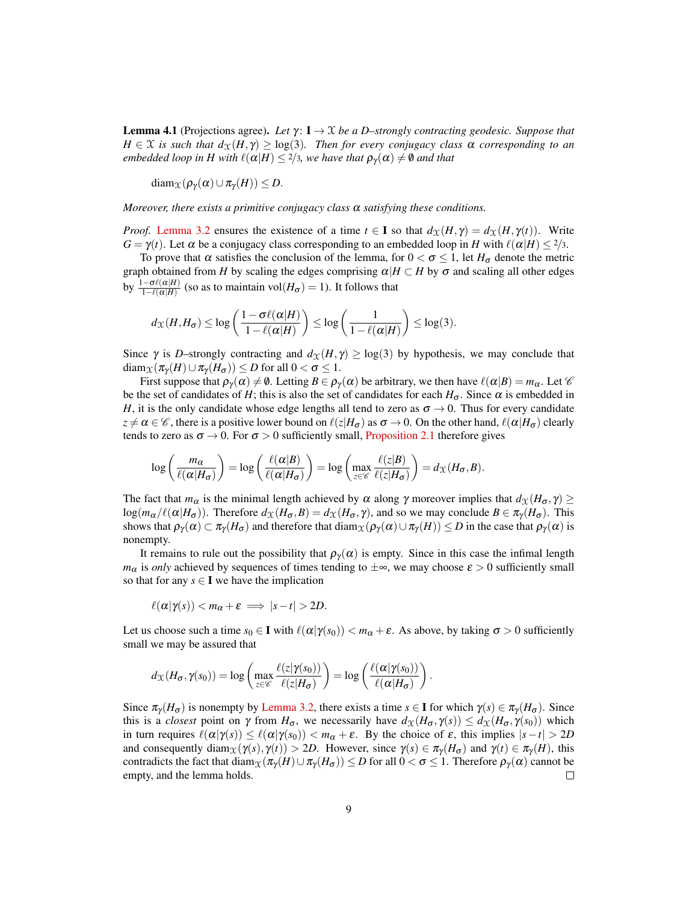**Lemma 4.1** (Projections agree). Let  $\gamma: I \to \mathcal{X}$  be a D–strongly contracting geodesic. Suppose that  $H \in \mathcal{X}$  *is such that*  $d_{\mathcal{X}}(H, \gamma) \geq \log(3)$ *. Then for every conjugacy class*  $\alpha$  *corresponding to an embedded loop in H with*  $\ell(\alpha|H) \leq 2/3$ *, we have that*  $\rho_{\gamma}(\alpha) \neq \emptyset$  and that

diam $_{\mathcal{X}}(\rho_{\gamma}(\alpha) \cup \pi_{\gamma}(H)) \leq D$ .

*Moreover, there exists a primitive conjugacy class* α *satisfying these conditions.*

*Proof.* [Lemma 3.2](#page-5-1) ensures the existence of a time  $t \in I$  so that  $d_X(H, \gamma) = d_X(H, \gamma(t))$ . Write *G* =  $\gamma(t)$ . Let  $\alpha$  be a conjugacy class corresponding to an embedded loop in *H* with  $\ell(\alpha|H) \leq 2/3$ .

To prove that  $\alpha$  satisfies the conclusion of the lemma, for  $0 < \sigma \le 1$ , let  $H_{\sigma}$  denote the metric graph obtained from *H* by scaling the edges comprising  $\alpha | H \subset H$  by  $\sigma$  and scaling all other edges by  $\frac{1-\sigma\ell(\alpha|H)}{1-\ell(\alpha|H)}$  (so as to maintain vol $(H_{\sigma}) = 1$ ). It follows that

$$
d_{\mathcal{X}}(H, H_{\sigma}) \leq \log \left( \frac{1 - \sigma \ell(\alpha|H)}{1 - \ell(\alpha|H)} \right) \leq \log \left( \frac{1}{1 - \ell(\alpha|H)} \right) \leq \log(3).
$$

Since  $\gamma$  is *D*–strongly contracting and  $d_{\mathcal{X}}(H, \gamma) \geq \log(3)$  by hypothesis, we may conclude that  $\text{diam}_{\mathfrak{X}}(\pi_{\gamma}(H) \cup \pi_{\gamma}(H_{\sigma})) \leq D$  for all  $0 < \sigma \leq 1$ .

First suppose that  $\rho_{\gamma}(\alpha) \neq \emptyset$ . Letting  $B \in \rho_{\gamma}(\alpha)$  be arbitrary, we then have  $\ell(\alpha|B) = m_{\alpha}$ . Let  $\mathscr{C}$ be the set of candidates of *H*; this is also the set of candidates for each  $H_{\sigma}$ . Since  $\alpha$  is embedded in *H*, it is the only candidate whose edge lengths all tend to zero as  $\sigma \rightarrow 0$ . Thus for every candidate  $z \neq \alpha \in \mathscr{C}$ , there is a positive lower bound on  $\ell(z|H_{\sigma})$  as  $\sigma \to 0$ . On the other hand,  $\ell(\alpha|H_{\sigma})$  clearly tends to zero as  $\sigma \rightarrow 0$ . For  $\sigma > 0$  sufficiently small, [Proposition 2.1](#page-3-1) therefore gives

$$
\log\left(\frac{m_{\alpha}}{\ell(\alpha|H_{\sigma})}\right) = \log\left(\frac{\ell(\alpha|B)}{\ell(\alpha|H_{\sigma})}\right) = \log\left(\max_{z \in \mathscr{C}} \frac{\ell(z|B)}{\ell(z|H_{\sigma})}\right) = d_{\mathfrak{X}}(H_{\sigma},B).
$$

The fact that  $m_\alpha$  is the minimal length achieved by  $\alpha$  along  $\gamma$  moreover implies that  $d_\alpha(H_\sigma, \gamma) \geq$  $log(m_\alpha/\ell(\alpha|H_\sigma))$ . Therefore  $d_\mathcal{X}(H_\sigma, B) = d_\mathcal{X}(H_\sigma, \gamma)$ , and so we may conclude  $B \in \pi_\gamma(H_\sigma)$ . This shows that  $\rho_{\gamma}(\alpha) \subset \pi_{\gamma}(H_{\sigma})$  and therefore that diam $_{\chi}(\rho_{\gamma}(\alpha) \cup \pi_{\gamma}(H)) \leq D$  in the case that  $\rho_{\gamma}(\alpha)$  is nonempty.

It remains to rule out the possibility that  $\rho_{\gamma}(\alpha)$  is empty. Since in this case the infimal length *m*<sub>α</sub> is *only* achieved by sequences of times tending to  $\pm \infty$ , we may choose  $\varepsilon > 0$  sufficiently small so that for any  $s \in I$  we have the implication

$$
\ell(\alpha|\gamma(s)) < m_\alpha + \varepsilon \implies |s-t| > 2D.
$$

Let us choose such a time  $s_0 \in I$  with  $\ell(\alpha|\gamma(s_0)) < m_\alpha + \varepsilon$ . As above, by taking  $\sigma > 0$  sufficiently small we may be assured that

$$
d_{\mathcal{X}}(H_{\sigma}, \gamma(s_0)) = \log \left( \max_{z \in \mathscr{C}} \frac{\ell(z | \gamma(s_0))}{\ell(z | H_{\sigma})} \right) = \log \left( \frac{\ell(\alpha | \gamma(s_0))}{\ell(\alpha | H_{\sigma})} \right).
$$

Since  $\pi_{\gamma}(H_{\sigma})$  is nonempty by [Lemma 3.2,](#page-5-1) there exists a time  $s \in I$  for which  $\gamma(s) \in \pi_{\gamma}(H_{\sigma})$ . Since this is a *closest* point on  $\gamma$  from  $H_{\sigma}$ , we necessarily have  $d_{\mathcal{X}}(H_{\sigma}, \gamma(s)) \leq d_{\mathcal{X}}(H_{\sigma}, \gamma(s_0))$  which in turn requires  $\ell(\alpha|\gamma(s)) \leq \ell(\alpha|\gamma(s_0)) < m_\alpha + \varepsilon$ . By the choice of  $\varepsilon$ , this implies  $|s-t| > 2D$ and consequently diam<sub>X</sub>( $\gamma(s)$ ,  $\gamma(t)$ ) > 2*D*. However, since  $\gamma(s) \in \pi_{\gamma}(H_{\sigma})$  and  $\gamma(t) \in \pi_{\gamma}(H)$ , this contradicts the fact that diam $\chi(\pi_Y(H) \cup \pi_Y(H_\sigma)) \leq D$  for all  $0 < \sigma \leq 1$ . Therefore  $\rho_Y(\alpha)$  cannot be empty, and the lemma holds. П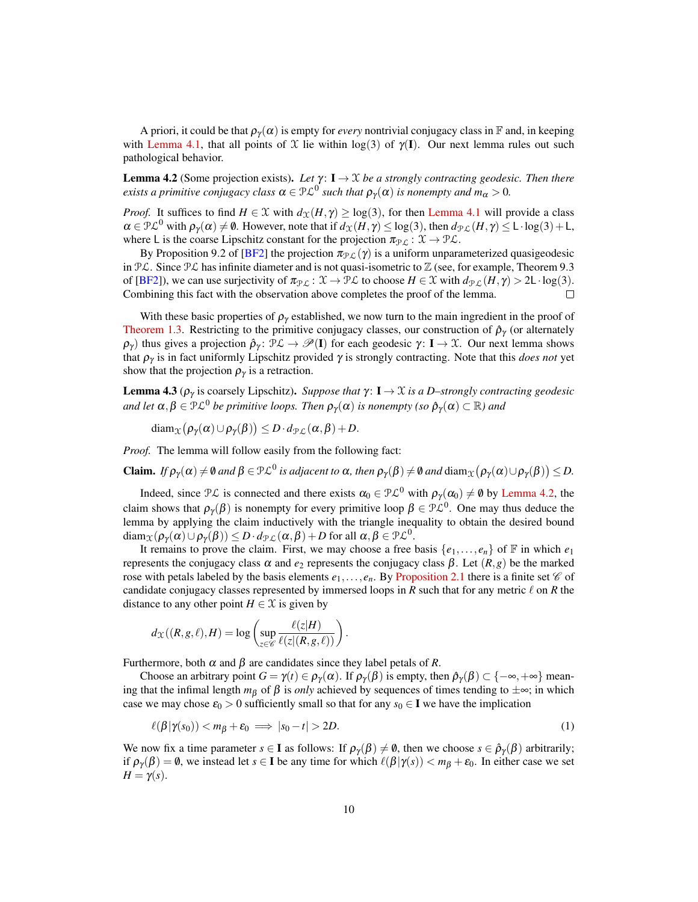A priori, it could be that  $\rho_{\gamma}(\alpha)$  is empty for *every* nontrivial conjugacy class in F and, in keeping with [Lemma 4.1,](#page-7-0) that all points of X lie within  $log(3)$  of  $\gamma(I)$ . Our next lemma rules out such pathological behavior.

<span id="page-9-1"></span>**Lemma 4.2** (Some projection exists). Let  $\gamma: I \to \mathcal{X}$  be a strongly contracting geodesic. Then there  $e$ xists a primitive conjugacy class  $\alpha\in$   $\mathcal{PL}^0$  such that  $\rho_\gamma(\alpha)$  is nonempty and  $m_\alpha>0.$ 

*Proof.* It suffices to find  $H \in \mathcal{X}$  with  $d_{\mathcal{X}}(H, \gamma) \geq \log(3)$ , for then [Lemma 4.1](#page-7-0) will provide a class  $\alpha \in \mathcal{PL}^0$  with  $\rho_{\gamma}(\alpha) \neq \emptyset$ . However, note that if  $d_{\mathcal{X}}(H, \gamma) \leq \log(3)$ , then  $d_{\mathcal{PL}}(H, \gamma) \leq L \cdot \log(3) + L$ , where L is the coarse Lipschitz constant for the projection  $\pi_{\mathcal{PL}} : \mathcal{X} \to \mathcal{PL}$ .

By Proposition 9.2 of [\[BF2\]](#page-19-1) the projection  $\pi_{\mathcal{PL}}(\gamma)$  is a uniform unparameterized quasigeodesic in  $\mathcal{PL}$ . Since  $\mathcal{PL}$  has infinite diameter and is not quasi-isometric to  $\mathbb{Z}$  (see, for example, Theorem 9.3 of [\[BF2\]](#page-19-1)), we can use surjectivity of  $\pi_{\mathcal{PL}} : \mathcal{X} \to \mathcal{PL}$  to choose  $H \in \mathcal{X}$  with  $d_{\mathcal{PL}}(H, \gamma) > 2L \cdot \log(3)$ . Combining this fact with the observation above completes the proof of the lemma.  $\Box$ 

With these basic properties of  $\rho_{\gamma}$  established, we now turn to the main ingredient in the proof of [Theorem 1.3.](#page-1-1) Restricting to the primitive conjugacy classes, our construction of  $\hat{\rho}_{\gamma}$  (or alternately  $\rho_{\gamma}$ ) thus gives a projection  $\hat{\rho}_{\gamma}$ :  $\mathcal{PL} \to \mathcal{P}(\mathbf{I})$  for each geodesic  $\gamma: \mathbf{I} \to \mathcal{X}$ . Our next lemma shows that  $\rho_{\gamma}$  is in fact uniformly Lipschitz provided  $\gamma$  is strongly contracting. Note that this *does not* yet show that the projection  $\rho_{\gamma}$  is a retraction.

<span id="page-9-0"></span>**Lemma 4.3** ( $\rho_{\gamma}$  is coarsely Lipschitz). *Suppose that*  $\gamma$ :  $I \rightarrow \mathcal{X}$  *is a D–strongly contracting geodesic* and let  $\alpha, \beta \in \mathcal{PL}^0$  be primitive loops. Then  $\rho_\gamma(\alpha)$  is nonempty (so  $\hat{\rho}_\gamma(\alpha) \subset \mathbb{R}$ ) and

 $\operatorname{diam}_{\mathfrak X}\big(\boldsymbol{\rho}_\gamma(\boldsymbol{\alpha})\cup\boldsymbol{\rho}_\gamma(\boldsymbol{\beta})\big)\leq D\cdot d_{\mathfrak P\mathcal L}(\boldsymbol{\alpha},\boldsymbol{\beta})+D.$ 

*Proof.* The lemma will follow easily from the following fact:

**Claim.** If  $\rho_\gamma(\alpha) \neq \emptyset$  and  $\beta \in \mathcal{PL}^0$  is adjacent to  $\alpha$ , then  $\rho_\gamma(\beta) \neq \emptyset$  and  $\text{diam}_\mathfrak{X}(\rho_\gamma(\alpha) \cup \rho_\gamma(\beta)) \leq D$ .

Indeed, since  $\mathcal{PL}$  is connected and there exists  $\alpha_0 \in \mathcal{PL}^0$  with  $\rho_\gamma(\alpha_0) \neq \emptyset$  by [Lemma 4.2,](#page-9-1) the claim shows that  $\rho_\gamma(\beta)$  is nonempty for every primitive loop  $\beta \in \mathcal{PL}^0$ . One may thus deduce the lemma by applying the claim inductively with the triangle inequality to obtain the desired bound  $\text{diam}_{\mathfrak X}(\rho_\gamma(\alpha) \cup \rho_\gamma(\beta)) \leq D\cdot d_{\mathcal{PL}}(\alpha,\beta) + D \text{ for all } \alpha,\beta \in \mathcal{PL}^0.$ 

It remains to prove the claim. First, we may choose a free basis  $\{e_1, \ldots, e_n\}$  of F in which  $e_1$ represents the conjugacy class  $\alpha$  and  $e_2$  represents the conjugacy class  $\beta$ . Let  $(R, g)$  be the marked rose with petals labeled by the basis elements  $e_1, \ldots, e_n$ . By [Proposition 2.1](#page-3-1) there is a finite set  $\mathscr C$  of candidate conjugacy classes represented by immersed loops in *R* such that for any metric  $\ell$  on *R* the distance to any other point  $H \in \mathcal{X}$  is given by

$$
d_{\mathcal{X}}((R,g,\ell),H) = \log \left( \sup_{z \in \mathscr{C}} \frac{\ell(z|H)}{\ell(z|(R,g,\ell))} \right).
$$

Furthermore, both α and β are candidates since they label petals of *R*.

Choose an arbitrary point  $G = \gamma(t) \in \rho_{\gamma}(\alpha)$ . If  $\rho_{\gamma}(\beta)$  is empty, then  $\hat{\rho}_{\gamma}(\beta) \subset \{-\infty, +\infty\}$  meaning that the infimal length  $m<sub>\beta</sub>$  of  $\beta$  is *only* achieved by sequences of times tending to  $\pm \infty$ ; in which case we may chose  $\varepsilon_0 > 0$  sufficiently small so that for any  $s_0 \in I$  we have the implication

<span id="page-9-2"></span>
$$
\ell(\beta|\gamma(s_0)) < m_\beta + \varepsilon_0 \implies |s_0 - t| > 2D. \tag{1}
$$

We now fix a time parameter  $s \in I$  as follows: If  $\rho_{\gamma}(\beta) \neq \emptyset$ , then we choose  $s \in \hat{\rho}_{\gamma}(\beta)$  arbitrarily; if  $\rho_{\gamma}(\beta) = \emptyset$ , we instead let  $s \in I$  be any time for which  $\ell(\beta|\gamma(s)) < m_{\beta} + \varepsilon_0$ . In either case we set  $H = \gamma(s)$ .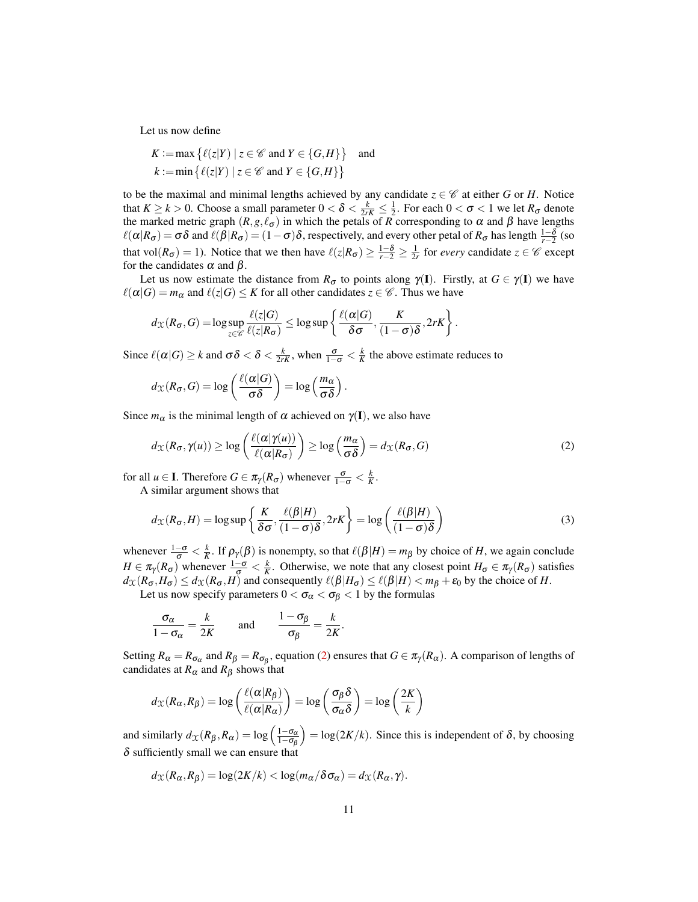Let us now define

$$
K := \max \{ \ell(z|Y) \mid z \in \mathcal{C} \text{ and } Y \in \{G, H\} \} \text{ and}
$$
  

$$
k := \min \{ \ell(z|Y) \mid z \in \mathcal{C} \text{ and } Y \in \{G, H\} \}
$$

to be the maximal and minimal lengths achieved by any candidate  $z \in \mathscr{C}$  at either *G* or *H*. Notice that  $K \ge k > 0$ . Choose a small parameter  $0 < \delta < \frac{k}{2rK} \le \frac{1}{2}$ . For each  $0 < \sigma < 1$  we let  $R_{\sigma}$  denote the marked metric graph  $(R, g, \ell_{\sigma})$  in which the petals of *R* corresponding to  $\alpha$  and  $\beta$  have lengths  $\ell(\alpha|R_{\sigma}) = \sigma \delta$  and  $\ell(\beta|R_{\sigma}) = (1 - \sigma)\delta$ , respectively, and every other petal of  $R_{\sigma}$  has length  $\frac{1 - \delta}{r-2}$  (so that vol $(R_{\sigma}) = 1$ ). Notice that we then have  $\ell(z|R_{\sigma}) \geq \frac{1-\delta}{r-2} \geq \frac{1}{2r}$  for *every* candidate  $z \in \mathscr{C}$  except for the candidates  $\alpha$  and  $\beta$ .

Let us now estimate the distance from  $R_{\sigma}$  to points along  $\gamma(I)$ . Firstly, at  $G \in \gamma(I)$  we have  $\ell(\alpha|G) = m_\alpha$  and  $\ell(z|G) \leq K$  for all other candidates  $z \in \mathscr{C}$ . Thus we have

$$
d_{\mathcal{X}}(R_{\sigma}, G) = \log \sup_{z \in \mathscr{C}} \frac{\ell(z|G)}{\ell(z|R_{\sigma})} \leq \log \sup \left\{ \frac{\ell(\alpha|G)}{\delta \sigma}, \frac{K}{(1-\sigma)\delta}, 2rK \right\}.
$$

Since  $\ell(\alpha|G) \ge k$  and  $\sigma \delta < \delta < \frac{k}{2rK}$ , when  $\frac{\sigma}{1-\sigma} < \frac{k}{K}$  the above estimate reduces to

$$
d_{\mathcal{X}}(R_{\sigma}, G) = \log\left(\frac{\ell(\alpha|G)}{\sigma\delta}\right) = \log\left(\frac{m_{\alpha}}{\sigma\delta}\right).
$$

Since  $m_{\alpha}$  is the minimal length of  $\alpha$  achieved on  $\gamma(I)$ , we also have

<span id="page-10-0"></span>
$$
d_{\mathcal{X}}(R_{\sigma}, \gamma(u)) \ge \log\left(\frac{\ell(\alpha|\gamma(u))}{\ell(\alpha|R_{\sigma})}\right) \ge \log\left(\frac{m_{\alpha}}{\sigma\delta}\right) = d_{\mathcal{X}}(R_{\sigma}, G) \tag{2}
$$

for all  $u \in \mathbf{I}$ . Therefore  $G \in \pi_{\gamma}(R_{\sigma})$  whenever  $\frac{\sigma}{1-\sigma} < \frac{k}{K}$ .

A similar argument shows that

<span id="page-10-1"></span>
$$
d_{\mathcal{X}}(R_{\sigma}, H) = \log \sup \left\{ \frac{K}{\delta \sigma}, \frac{\ell(\beta | H)}{(1 - \sigma)\delta}, 2rK \right\} = \log \left( \frac{\ell(\beta | H)}{(1 - \sigma)\delta} \right)
$$
(3)

whenever  $\frac{1-\sigma}{\sigma} < \frac{k}{K}$ . If  $\rho_{\gamma}(\beta)$  is nonempty, so that  $\ell(\beta|H) = m_{\beta}$  by choice of *H*, we again conclude  $H \in \pi_{\gamma}(R_{\sigma})$  whenever  $\frac{1-\sigma}{\sigma} < \frac{k}{K}$ . Otherwise, we note that any closest point  $H_{\sigma} \in \pi_{\gamma}(R_{\sigma})$  satisfies  $d_{\mathcal{X}}(R_{\sigma}, H_{\sigma}) \leq d_{\mathcal{X}}(R_{\sigma}, H)$  and consequently  $\ell(\beta | H_{\sigma}) \leq \ell(\beta | H) < m_{\beta} + \varepsilon_0$  by the choice of *H*. Let us now specify parameters  $0 < \sigma_{\alpha} < \sigma_{\beta} < 1$  by the formulas

*k* 1−σ<sup>β</sup> *k*

$$
\frac{\sigma_{\alpha}}{1-\sigma_{\alpha}}=\frac{k}{2K} \quad \text{and} \quad \frac{1-\sigma_{\beta}}{\sigma_{\beta}}=\frac{k}{2K}.
$$

Setting  $R_{\alpha} = R_{\sigma_{\alpha}}$  and  $R_{\beta} = R_{\sigma_{\beta}}$ , equation [\(2\)](#page-10-0) ensures that  $G \in \pi_{\gamma}(R_{\alpha})$ . A comparison of lengths of candidates at  $R_{\alpha}$  and  $R_{\beta}$  shows that

$$
d_{\mathcal{X}}(R_{\alpha}, R_{\beta}) = \log \left( \frac{\ell(\alpha | R_{\beta})}{\ell(\alpha | R_{\alpha})} \right) = \log \left( \frac{\sigma_{\beta} \delta}{\sigma_{\alpha} \delta} \right) = \log \left( \frac{2K}{k} \right)
$$

and similarly  $d_{\mathcal{X}}(R_{\beta}, R_{\alpha}) = \log \left( \frac{1-\sigma_{\alpha}}{1-\sigma_{\beta}} \right)$  $= log(2K/k)$ . Since this is independent of  $\delta$ , by choosing  $\delta$  sufficiently small we can ensure that

$$
d_{\mathcal{X}}(R_{\alpha},R_{\beta})=\log(2K/k)<\log(m_{\alpha}/\delta\sigma_{\alpha})=d_{\mathcal{X}}(R_{\alpha},\gamma).
$$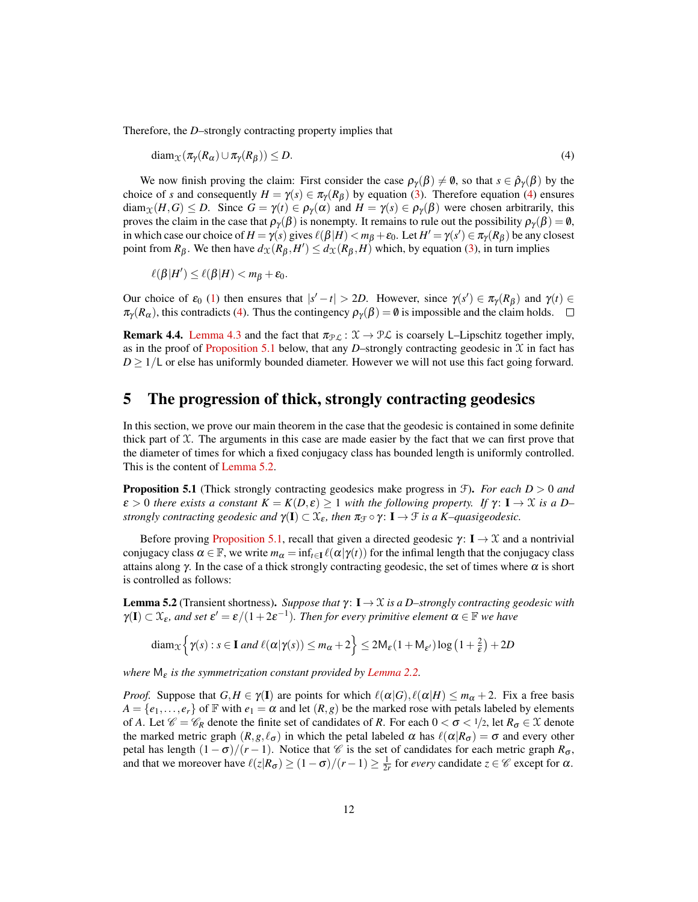Therefore, the *D*–strongly contracting property implies that

<span id="page-11-2"></span>
$$
diam_{\mathcal{X}}(\pi_{\gamma}(R_{\alpha}) \cup \pi_{\gamma}(R_{\beta})) \leq D. \tag{4}
$$

We now finish proving the claim: First consider the case  $\rho_{\gamma}(\beta) \neq \emptyset$ , so that  $s \in \hat{\rho}_{\gamma}(\beta)$  by the choice of *s* and consequently  $H = \gamma(s) \in \pi_{\gamma}(R_{\beta})$  by equation [\(3\)](#page-10-1). Therefore equation [\(4\)](#page-11-2) ensures  $\text{diam}_{\mathcal{X}}(H, G) \leq D$ . Since  $G = \gamma(t) \in \rho_{\gamma}(\alpha)$  and  $H = \gamma(s) \in \rho_{\gamma}(\beta)$  were chosen arbitrarily, this proves the claim in the case that  $\rho_\gamma(\beta)$  is nonempty. It remains to rule out the possibility  $\rho_\gamma(\beta) = \emptyset$ , in which case our choice of  $H = \gamma(s)$  gives  $\ell(\beta|H) < m_{\beta} + \varepsilon_0$ . Let  $H' = \gamma(s') \in \pi_{\gamma}(R_{\beta})$  be any closest point from  $R_{\beta}$ . We then have  $d_{\mathfrak{X}}(R_{\beta}, H') \leq d_{\mathfrak{X}}(R_{\beta}, H)$  which, by equation [\(3\)](#page-10-1), in turn implies

$$
\ell(\beta|H')\leq \ell(\beta|H)
$$

Our choice of  $\varepsilon_0$  [\(1\)](#page-9-2) then ensures that  $|s'-t| > 2D$ . However, since  $\gamma(s') \in \pi_\gamma(R_\beta)$  and  $\gamma(t) \in$  $\pi_{\gamma}(R_{\alpha})$ , this contradicts [\(4\)](#page-11-2). Thus the contingency  $\rho_{\gamma}(\beta) = \emptyset$  is impossible and the claim holds.  $\square$ 

**Remark 4.4.** [Lemma 4.3](#page-9-0) and the fact that  $\pi_{\mathcal{PL}} : \mathcal{X} \to \mathcal{PL}$  is coarsely L–Lipschitz together imply, as in the proof of [Proposition 5.1](#page-11-1) below, that any *D*–strongly contracting geodesic in  $\mathcal X$  in fact has  $D \geq 1/L$  or else has uniformly bounded diameter. However we will not use this fact going forward.

#### 5 The progression of thick, strongly contracting geodesics

In this section, we prove our main theorem in the case that the geodesic is contained in some definite thick part of  $X$ . The arguments in this case are made easier by the fact that we can first prove that the diameter of times for which a fixed conjugacy class has bounded length is uniformly controlled. This is the content of [Lemma 5.2.](#page-11-0)

<span id="page-11-1"></span>Proposition 5.1 (Thick strongly contracting geodesics make progress in F). *For each D* > 0 *and*  $\varepsilon > 0$  *there exists a constant*  $K = K(D, \varepsilon) \ge 1$  *with the following property. If*  $\gamma: I \to \mathcal{X}$  *is a D*– *strongly contracting geodesic and*  $\gamma(I) \subset \mathfrak{X}_{\varepsilon}$ *, then*  $\pi_{\mathfrak{F}} \circ \gamma$ :  $I \to \mathfrak{F}$  *is a K–quasigeodesic.* 

Before proving [Proposition 5.1,](#page-11-1) recall that given a directed geodesic  $\gamma: I \to \mathcal{X}$  and a nontrivial conjugacy class  $\alpha \in \mathbb{F}$ , we write  $m_\alpha = \inf_{t \in \mathbb{I}} \ell(\alpha | \gamma(t))$  for the infimal length that the conjugacy class attains along  $\gamma$ . In the case of a thick strongly contracting geodesic, the set of times where  $\alpha$  is short is controlled as follows:

<span id="page-11-0"></span>**Lemma 5.2** (Transient shortness). *Suppose that*  $\gamma$ :  $I \rightarrow \mathcal{X}$  *is a D–strongly contracting geodesic with*  $\gamma(I) \subset \mathfrak{X}_{\varepsilon}$ , and set  $\varepsilon' = \varepsilon/(1+2\varepsilon^{-1})$ . Then for every primitive element  $\alpha \in \mathbb{F}$  we have

$$
\text{diam}_{\mathcal{X}}\left\{\gamma(s):s\in\mathbf{I}\text{ and }\ell(\alpha|\gamma(s))\leq m_{\alpha}+2\right\}\leq 2\mathsf{M}_{\varepsilon}(1+\mathsf{M}_{\varepsilon'})\log\left(1+\frac{2}{\varepsilon}\right)+2D
$$

*where*  $M_{\varepsilon}$  *is the symmetrization constant provided by [Lemma 2.2.](#page-4-0)* 

*Proof.* Suppose that  $G, H \in \gamma(I)$  are points for which  $\ell(\alpha|G), \ell(\alpha|H) \leq m_{\alpha} + 2$ . Fix a free basis  $A = \{e_1, \ldots, e_r\}$  of F with  $e_1 = \alpha$  and let  $(R, g)$  be the marked rose with petals labeled by elements of *A*. Let  $\mathscr{C} = \mathscr{C}_R$  denote the finite set of candidates of *R*. For each  $0 < \sigma < 1/2$ , let  $R_{\sigma} \in \mathcal{X}$  denote the marked metric graph  $(R, g, \ell_{\sigma})$  in which the petal labeled  $\alpha$  has  $\ell(\alpha | R_{\sigma}) = \sigma$  and every other petal has length  $(1 - \sigma)/(r - 1)$ . Notice that *C* is the set of candidates for each metric graph  $R_{\sigma}$ , and that we moreover have  $\ell(z|R_{\sigma}) \ge (1 - \sigma)/(r - 1) \ge \frac{1}{2r}$  for *every* candidate  $z \in \mathscr{C}$  except for  $\alpha$ .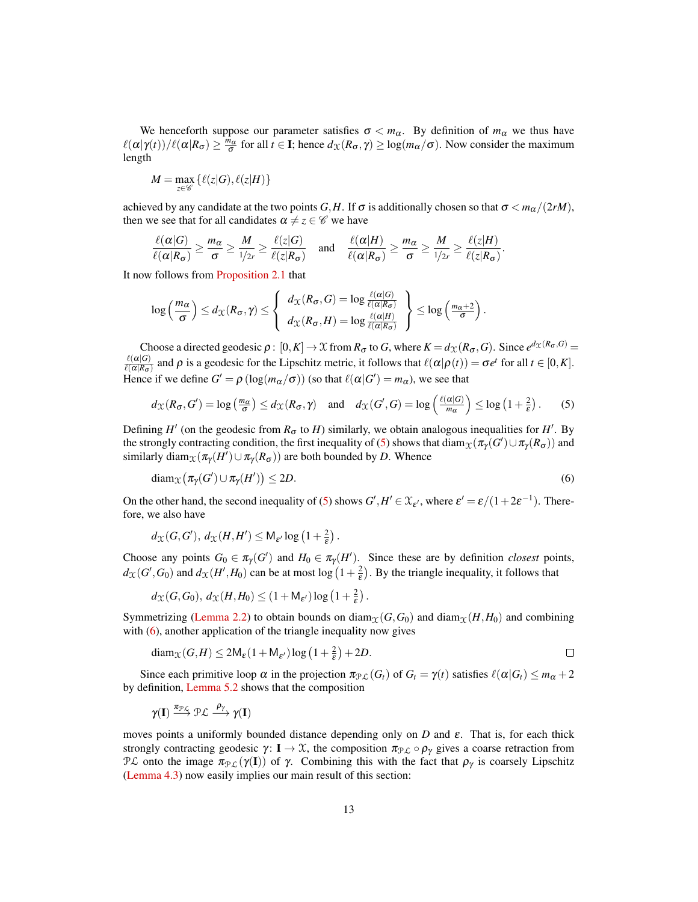We henceforth suppose our parameter satisfies  $\sigma < m_\alpha$ . By definition of  $m_\alpha$  we thus have  $\ell(\alpha|\gamma(t))/\ell(\alpha|R_{\sigma}) \geq \frac{m_{\alpha}}{\sigma}$  for all  $t \in \mathbf{I}$ ; hence  $d_{\mathcal{X}}(R_{\sigma}, \gamma) \geq \log(m_{\alpha}/\sigma)$ . Now consider the maximum length

$$
M = \max_{z \in \mathscr{C}} \left\{ \ell(z|G), \ell(z|H) \right\}
$$

achieved by any candidate at the two points  $G, H$ . If  $\sigma$  is additionally chosen so that  $\sigma < m_\alpha/(2rM)$ , then we see that for all candidates  $\alpha \neq z \in \mathscr{C}$  we have

$$
\frac{\ell(\alpha|G)}{\ell(\alpha|R_{\sigma})} \ge \frac{m_{\alpha}}{\sigma} \ge \frac{M}{1/2r} \ge \frac{\ell(z|G)}{\ell(z|R_{\sigma})} \quad \text{and} \quad \frac{\ell(\alpha|H)}{\ell(\alpha|R_{\sigma})} \ge \frac{m_{\alpha}}{\sigma} \ge \frac{M}{1/2r} \ge \frac{\ell(z|H)}{\ell(z|R_{\sigma})}.
$$

It now follows from [Proposition 2.1](#page-3-1) that

$$
\log\left(\frac{m_{\alpha}}{\sigma}\right) \leq d_{\mathcal{X}}(R_{\sigma}, \gamma) \leq \left\{\begin{array}{c} d_{\mathcal{X}}(R_{\sigma}, G) = \log \frac{\ell(\alpha|G)}{\ell(\alpha|R_{\sigma})} \\ d_{\mathcal{X}}(R_{\sigma}, H) = \log \frac{\ell(\alpha|H)}{\ell(\alpha|R_{\sigma})} \end{array}\right\} \leq \log\left(\frac{m_{\alpha}+2}{\sigma}\right).
$$

Choose a directed geodesic  $\rho : [0, K] \to \mathfrak{X}$  from  $R_{\sigma}$  to *G*, where  $K = d_{\mathfrak{X}}(R_{\sigma}, G)$ . Since  $e^{d_{\mathfrak{X}}(R_{\sigma}, G)} =$  $\ell(\alpha|G)$  $\frac{\ell(\alpha|G)}{\ell(\alpha|R_{\sigma})}$  and  $\rho$  is a geodesic for the Lipschitz metric, it follows that  $\ell(\alpha|\rho(t)) = \sigma e^t$  for all  $t \in [0, K]$ . Hence if we define  $G' = \rho (\log(m_\alpha/\sigma))$  (so that  $\ell(\alpha|G') = m_\alpha$ ), we see that

<span id="page-12-0"></span>
$$
d_{\mathcal{X}}(R_{\sigma}, G') = \log\left(\frac{m_{\alpha}}{\sigma}\right) \le d_{\mathcal{X}}(R_{\sigma}, \gamma) \quad \text{and} \quad d_{\mathcal{X}}(G', G) = \log\left(\frac{\ell(\alpha|G)}{m_{\alpha}}\right) \le \log\left(1 + \frac{2}{\epsilon}\right). \tag{5}
$$

Defining  $H'$  (on the geodesic from  $R_{\sigma}$  to *H*) similarly, we obtain analogous inequalities for *H'*. By the strongly contracting condition, the first inequality of [\(5\)](#page-12-0) shows that  $\text{diam}_\mathfrak{X}(\pi_\gamma(G') \cup \pi_\gamma(R_\sigma))$  and similarly diam $\chi(\pi_Y(H') \cup \pi_Y(R_{\sigma}))$  are both bounded by *D*. Whence

<span id="page-12-1"></span>
$$
diam_{\mathcal{X}}(\pi_{\gamma}(G') \cup \pi_{\gamma}(H')) \leq 2D.
$$
\n(6)

On the other hand, the second inequality of [\(5\)](#page-12-0) shows  $G', H' \in \mathcal{X}_{\varepsilon'}$ , where  $\varepsilon' = \varepsilon/(1+2\varepsilon^{-1})$ . Therefore, we also have

$$
d_{\mathcal{X}}(G,G'), d_{\mathcal{X}}(H,H') \leq M_{\varepsilon'} \log \left(1+\tfrac{2}{\varepsilon}\right).
$$

Choose any points  $G_0 \in \pi_\gamma(G')$  and  $H_0 \in \pi_\gamma(H')$ . Since these are by definition *closest* points,  $d_{\mathcal{X}}(G', G_0)$  and  $d_{\mathcal{X}}(H', H_0)$  can be at most log  $(1 + \frac{2}{\varepsilon})$ . By the triangle inequality, it follows that

$$
d_{\mathcal{X}}(G, G_0), d_{\mathcal{X}}(H, H_0) \leq (1 + M_{\varepsilon'}) \log \left(1 + \frac{2}{\varepsilon}\right).
$$

Symmetrizing [\(Lemma 2.2\)](#page-4-0) to obtain bounds on diam<sub> $\chi$ </sub>(*G*,*G*<sub>0</sub>) and diam<sub> $\chi$ </sub>(*H*,*H*<sub>0</sub>) and combining with [\(6\)](#page-12-1), another application of the triangle inequality now gives

$$
\text{diam}_{\mathcal{X}}(G, H) \le 2\mathsf{M}_{\varepsilon}(1 + \mathsf{M}_{\varepsilon'})\log\left(1 + \frac{2}{\varepsilon}\right) + 2D.
$$

Since each primitive loop  $\alpha$  in the projection  $\pi_{\mathcal{PL}}(G_t)$  of  $G_t = \gamma(t)$  satisfies  $\ell(\alpha|G_t) \leq m_\alpha + 2$ by definition, [Lemma 5.2](#page-11-0) shows that the composition

$$
\gamma(I) \stackrel{\pi_{\mathcal{PL}}}{\longrightarrow} \mathcal{PL} \stackrel{\rho_{\gamma}}{\longrightarrow} \gamma(I)
$$

moves points a uniformly bounded distance depending only on *D* and ε. That is, for each thick strongly contracting geodesic  $\gamma: I \to \mathcal{X}$ , the composition  $\pi_{\mathcal{PL}} \circ \rho_{\gamma}$  gives a coarse retraction from PL onto the image  $\pi_{\mathcal{PL}}(\gamma(\mathbf{I}))$  of  $\gamma$ . Combining this with the fact that  $\rho_{\gamma}$  is coarsely Lipschitz [\(Lemma 4.3\)](#page-9-0) now easily implies our main result of this section: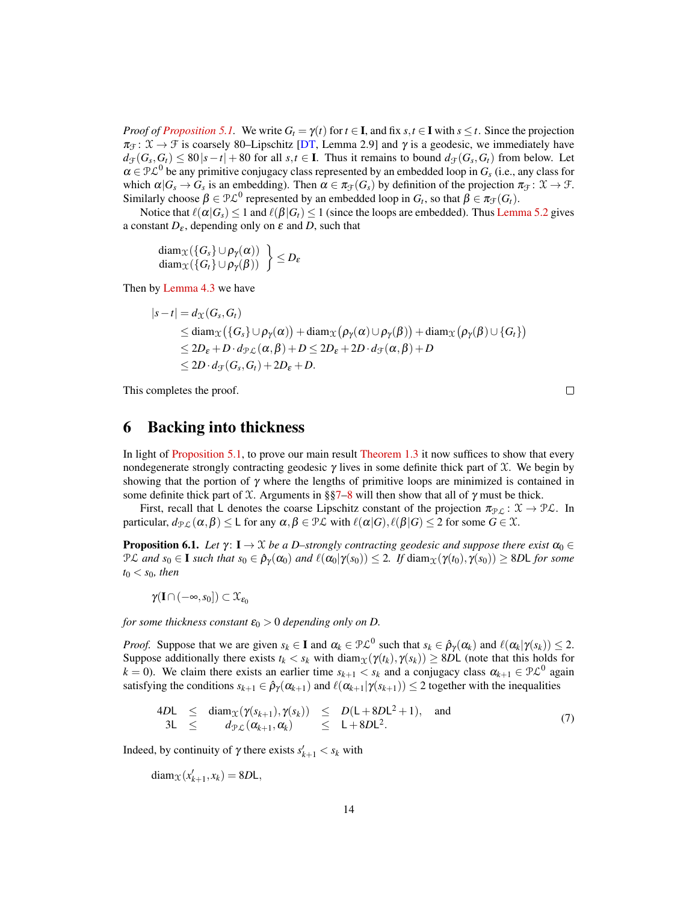*Proof of [Proposition 5.1.](#page-11-1)* We write  $G_t = \gamma(t)$  for  $t \in I$ , and fix  $s, t \in I$  with  $s \le t$ . Since the projection  $\pi_{\mathcal{F}} : \mathcal{X} \to \mathcal{F}$  is coarsely 80–Lipschitz [\[DT,](#page-19-4) Lemma 2.9] and  $\gamma$  is a geodesic, we immediately have  $d_f(G_s, G_t) \leq 80|s-t| + 80$  for all  $s, t \in I$ . Thus it remains to bound  $d_f(G_s, G_t)$  from below. Let  $\alpha \in \mathcal{PL}^0$  be any primitive conjugacy class represented by an embedded loop in  $G_s$  (i.e., any class for which  $\alpha|G_s \to G_s$  is an embedding). Then  $\alpha \in \pi_{\mathcal{F}}(G_s)$  by definition of the projection  $\pi_{\mathcal{F}} \colon \mathcal{X} \to \mathcal{F}$ . Similarly choose  $\beta \in \mathcal{PL}^0$  represented by an embedded loop in  $G_t$ , so that  $\beta \in \pi_{\mathcal{F}}(G_t)$ .

Notice that  $\ell(\alpha|G_s) \leq 1$  and  $\ell(\beta|G_t) \leq 1$  (since the loops are embedded). Thus [Lemma 5.2](#page-11-0) gives a constant  $D_{\varepsilon}$ , depending only on  $\varepsilon$  and *D*, such that

 $\begin{array}{c} \mathrm{diam}_{\mathfrak{X}}(\{G_s\}\cup \rho_{\gamma}(\alpha))\ \mathrm{diam}_{\mathfrak{X}}(\{G_t\}\cup \rho_{\gamma}(\beta))\end{array}\Big\}\leq D_{\varepsilon}$ 

Then by [Lemma 4.3](#page-9-0) we have

$$
|s-t| = d_{\mathcal{X}}(G_s, G_t)
$$
  
\n
$$
\leq \operatorname{diam}_{\mathcal{X}}(\{G_s\} \cup \rho_{\gamma}(\alpha)) + \operatorname{diam}_{\mathcal{X}}(\rho_{\gamma}(\alpha) \cup \rho_{\gamma}(\beta)) + \operatorname{diam}_{\mathcal{X}}(\rho_{\gamma}(\beta) \cup \{G_t\})
$$
  
\n
$$
\leq 2D_{\varepsilon} + D \cdot d_{\mathcal{PL}}(\alpha, \beta) + D \leq 2D_{\varepsilon} + 2D \cdot d_{\mathcal{F}}(\alpha, \beta) + D
$$
  
\n
$$
\leq 2D \cdot d_{\mathcal{F}}(G_s, G_t) + 2D_{\varepsilon} + D.
$$

This completes the proof.

<span id="page-13-0"></span> $\Box$ 

#### 6 Backing into thickness

In light of [Proposition 5.1,](#page-11-1) to prove our main result [Theorem 1.3](#page-1-1) it now suffices to show that every nondegenerate strongly contracting geodesic  $\gamma$  lives in some definite thick part of  $\mathfrak X$ . We begin by showing that the portion of  $\gamma$  where the lengths of primitive loops are minimized is contained in some definite thick part of X. Arguments in §[§7–](#page-14-1)[8](#page-16-1) will then show that all of  $\gamma$  must be thick.

First, recall that L denotes the coarse Lipschitz constant of the projection  $\pi_{\mathcal{PL}} : \mathcal{X} \to \mathcal{PL}$ . In particular,  $d_{\mathcal{PL}}(\alpha, \beta) \leq L$  for any  $\alpha, \beta \in \mathcal{PL}$  with  $\ell(\alpha|G), \ell(\beta|G) \leq 2$  for some  $G \in \mathcal{X}$ .

<span id="page-13-1"></span>**Proposition 6.1.** *Let*  $\gamma$ :  $I \to \mathcal{X}$  *be a D–strongly contracting geodesic and suppose there exist*  $\alpha_0 \in$  $\mathcal{P}\mathcal{L}$  *and*  $s_0 \in \mathbf{I}$  *such that*  $s_0 \in \hat{\rho}_{\gamma}(\alpha_0)$  *and*  $\ell(\alpha_0|\gamma(s_0)) \leq 2$ . If  $\text{diam}_{\mathcal{X}}(\gamma(t_0), \gamma(s_0)) \geq 8D\mathsf{L}$  for some *t*<sup>0</sup> < *s*0*, then*

 $\gamma(I\cap(-\infty,s_0])\subset\mathfrak{X}_{\varepsilon_0}$ 

*for some thickness constant*  $\varepsilon_0 > 0$  *depending only on D.* 

*Proof.* Suppose that we are given  $s_k \in I$  and  $\alpha_k \in \mathcal{PL}^0$  such that  $s_k \in \hat{\rho}_{\gamma}(\alpha_k)$  and  $\ell(\alpha_k | \gamma(s_k)) \leq 2$ . Suppose additionally there exists  $t_k < s_k$  with diam $\chi(\gamma(t_k), \gamma(s_k)) \ge 8DL$  (note that this holds for *k* = 0). We claim there exists an earlier time  $s_{k+1} < s_k$  and a conjugacy class  $\alpha_{k+1} \in \mathcal{PL}^0$  again satisfying the conditions  $s_{k+1} \in \hat{\rho}_{\gamma}(\alpha_{k+1})$  and  $\ell(\alpha_{k+1}|\gamma(s_{k+1})) \leq 2$  together with the inequalities

$$
4D\mathsf{L} \leq \operatorname{diam}_{\mathfrak{X}}(\gamma(s_{k+1}), \gamma(s_k)) \leq D(\mathsf{L} + 8D\mathsf{L}^2 + 1), \text{ and}
$$
  
\n
$$
3\mathsf{L} \leq d_{\mathfrak{P},\mathcal{L}}(\alpha_{k+1}, \alpha_k) \leq \mathsf{L} + 8D\mathsf{L}^2.
$$
 (7)

Indeed, by continuity of  $\gamma$  there exists  $s'_{k+1} < s_k$  with

$$
diam_{\mathcal{X}}(x'_{k+1}, x_k) = 8D\mathsf{L},
$$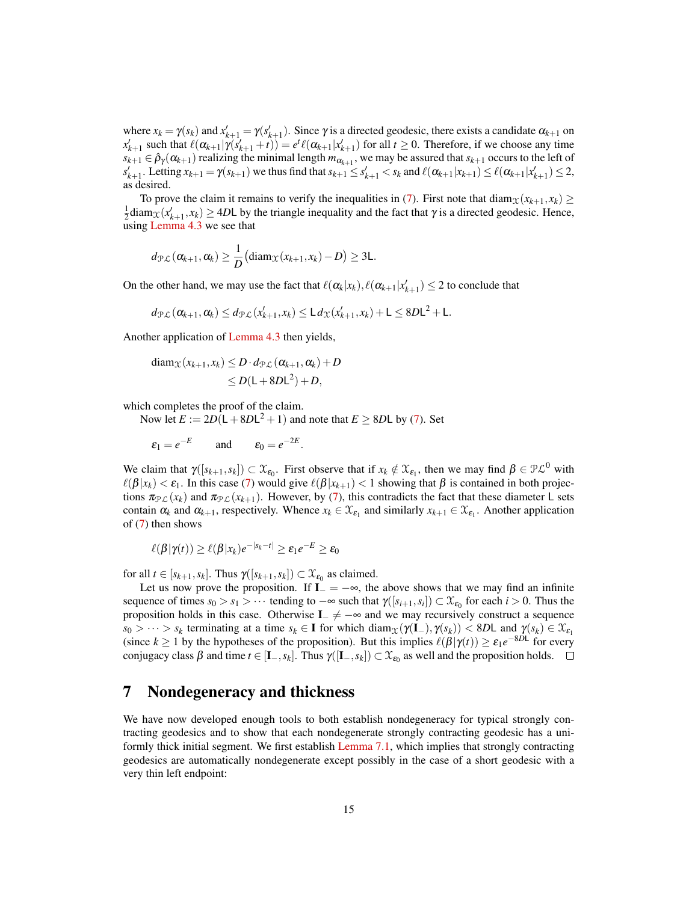where  $x_k = \gamma(s_k)$  and  $x'_{k+1} = \gamma(s'_{k+1})$ . Since  $\gamma$  is a directed geodesic, there exists a candidate  $\alpha_{k+1}$  on  $x'_{k+1}$  such that  $\ell(\alpha_{k+1}|\gamma(s'_{k+1}+t)) = e^t \ell(\alpha_{k+1}|x'_{k+1})$  for all  $t \ge 0$ . Therefore, if we choose any time  $s_{k+1} \in \hat{\rho}_{\gamma}(\alpha_{k+1})$  realizing the minimal length  $m_{\alpha_{k+1}}$ , we may be assured that  $s_{k+1}$  occurs to the left of  $s'_{k+1}$ . Letting  $x_{k+1} = \gamma(s_{k+1})$  we thus find that  $s_{k+1} \le s'_{k+1} < s_k$  and  $\ell(\alpha_{k+1}|x_{k+1}) \le \ell(\alpha_{k+1}|x'_{k+1}) \le 2$ , as desired.

To prove the claim it remains to verify the inequalities in [\(7\)](#page-13-0). First note that diam<sub>X</sub>( $x_{k+1}, x_k$ ) ≥  $\frac{1}{2}$ diam $\chi(x'_{k+1}, x_k) \ge 4D$ L by the triangle inequality and the fact that  $\gamma$  is a directed geodesic. Hence, using [Lemma 4.3](#page-9-0) we see that

$$
d_{\mathcal{PL}}(\alpha_{k+1},\alpha_k) \geq \frac{1}{D}(\text{diam}_{\mathcal{X}}(x_{k+1},x_k)-D) \geq 3L.
$$

On the other hand, we may use the fact that  $\ell(\alpha_k|x_k), \ell(\alpha_{k+1}|x'_{k+1}) \leq 2$  to conclude that

$$
d_{\mathcal{PL}}(\alpha_{k+1},\alpha_k) \leq d_{\mathcal{PL}}(x'_{k+1},x_k) \leq L d_{\mathcal{X}}(x'_{k+1},x_k) + L \leq 8DL^2 + L.
$$

Another application of [Lemma 4.3](#page-9-0) then yields,

$$
\begin{aligned} \text{diam}_{\mathcal{X}}(x_{k+1}, x_k) &\leq D \cdot d_{\mathcal{PL}}(\alpha_{k+1}, \alpha_k) + D \\ &\leq D(\mathsf{L} + 8D\mathsf{L}^2) + D, \end{aligned}
$$

which completes the proof of the claim.

Now let  $E := 2D(L + 8DL^2 + 1)$  and note that  $E \geq 8DL$  by [\(7\)](#page-13-0). Set

 $\varepsilon_1 = e^{-E}$  and  $\varepsilon_0 = e^{-2E}$ .

We claim that  $\gamma([s_{k+1}, s_k]) \subset \mathfrak{X}_{\epsilon_0}$ . First observe that if  $x_k \notin \mathfrak{X}_{\epsilon_1}$ , then we may find  $\beta \in \mathfrak{P} \mathcal{L}^0$  with  $\ell(\beta|x_k) < \varepsilon_1$ . In this case [\(7\)](#page-13-0) would give  $\ell(\beta|x_{k+1}) < 1$  showing that  $\beta$  is contained in both projections  $\pi_{\mathcal{PL}}(x_k)$  and  $\pi_{\mathcal{PL}}(x_{k+1})$ . However, by [\(7\)](#page-13-0), this contradicts the fact that these diameter L sets contain  $\alpha_k$  and  $\alpha_{k+1}$ , respectively. Whence  $x_k \in \mathcal{X}_{\varepsilon_1}$  and similarly  $x_{k+1} \in \mathcal{X}_{\varepsilon_1}$ . Another application of [\(7\)](#page-13-0) then shows

$$
\ell(\beta|\gamma(t)) \geq \ell(\beta|x_k)e^{-|s_k-t|} \geq \varepsilon_1e^{-E} \geq \varepsilon_0
$$

for all  $t \in [s_{k+1}, s_k]$ . Thus  $\gamma([s_{k+1}, s_k]) \subset \mathfrak{X}_{\epsilon_0}$  as claimed.

Let us now prove the proposition. If  $\mathbf{I} = -\infty$ , the above shows that we may find an infinite sequence of times  $s_0 > s_1 > \cdots$  tending to  $-\infty$  such that  $\gamma([s_{i+1}, s_i]) \subset \mathfrak{X}_{\varepsilon_0}$  for each  $i > 0$ . Thus the proposition holds in this case. Otherwise  $I_-\neq -\infty$  and we may recursively construct a sequence  $s_0 > \cdots > s_k$  terminating at a time  $s_k \in \mathbf{I}$  for which diam $\chi(\gamma(\mathbf{I}_{-}), \gamma(s_k)) < 8D\mathbf{L}$  and  $\gamma(s_k) \in \mathcal{X}_{\varepsilon_1}$ (since  $k \ge 1$  by the hypotheses of the proposition). But this implies  $\ell(\beta|\gamma(t)) \ge \varepsilon_1 e^{-8Dt}$  for every conjugacy class  $\beta$  and time  $t \in [\mathbf{I}_-, s_k]$ . Thus  $\gamma([\mathbf{I}_-, s_k]) \subset \mathcal{X}_{\epsilon_0}$  as well and the proposition holds.

#### <span id="page-14-1"></span>7 Nondegeneracy and thickness

<span id="page-14-0"></span>We have now developed enough tools to both establish nondegeneracy for typical strongly contracting geodesics and to show that each nondegenerate strongly contracting geodesic has a uniformly thick initial segment. We first establish [Lemma 7.1,](#page-14-0) which implies that strongly contracting geodesics are automatically nondegenerate except possibly in the case of a short geodesic with a very thin left endpoint: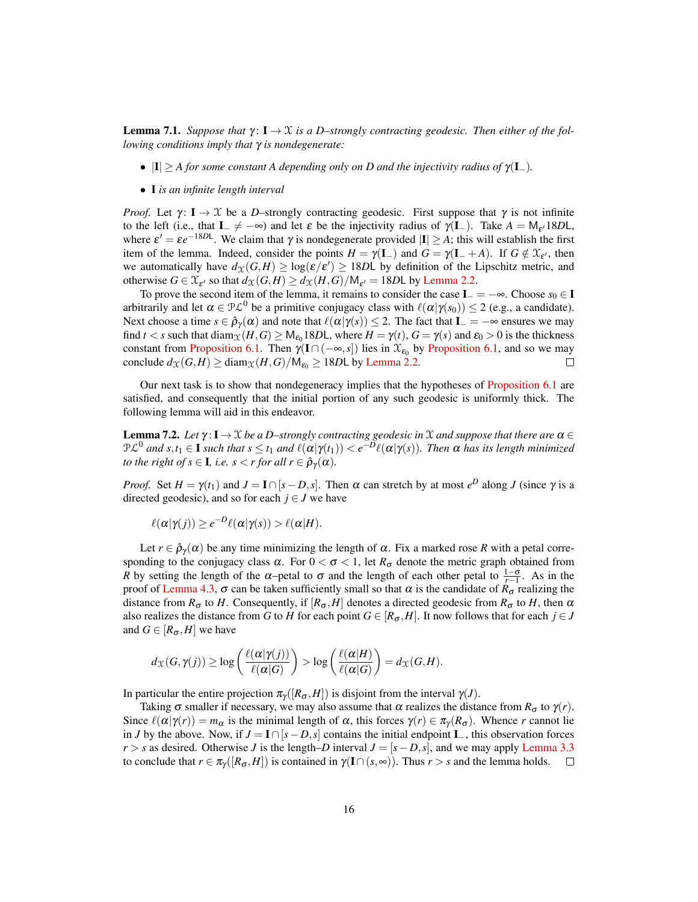**Lemma 7.1.** *Suppose that*  $\gamma: I \to \mathcal{X}$  *is a D–strongly contracting geodesic. Then either of the following conditions imply that* γ *is nondegenerate:*

- $|I| \geq A$  *for some constant A depending only on D and the injectivity radius of*  $\gamma(I_-)$ *.*
- I *is an infinite length interval*

*Proof.* Let  $\gamma: I \to \mathcal{X}$  be a *D*–strongly contracting geodesic. First suppose that  $\gamma$  is not infinite to the left (i.e., that  $I_{-} \neq -\infty$ ) and let  $\varepsilon$  be the injectivity radius of  $\gamma(I_{-})$ . Take  $A = M_{\varepsilon'} 18DL$ , where  $\varepsilon' = \varepsilon e^{-18D}$ . We claim that  $\gamma$  is nondegenerate provided  $|I| \ge A$ ; this will establish the first item of the lemma. Indeed, consider the points  $H = \gamma(\mathbf{I}_{-})$  and  $G = \gamma(\mathbf{I}_{-} + A)$ . If  $G \notin \mathcal{X}_{\varepsilon'}$ , then we automatically have  $d_{\mathfrak{X}}(G,H) \geq \log(\varepsilon/\varepsilon') \geq 18D\mathsf{L}$  by definition of the Lipschitz metric, and otherwise  $G \in \mathcal{X}_{\varepsilon'}$  so that  $d_{\mathcal{X}}(G,H) \geq d_{\mathcal{X}}(H,G)/\mathsf{M}_{\varepsilon'} = 18D\mathsf{L}$  by [Lemma 2.2.](#page-4-0)

To prove the second item of the lemma, it remains to consider the case  $I_ - = -\infty$ . Choose  $s_0 \in I$ arbitrarily and let  $\alpha \in \mathcal{PL}^0$  be a primitive conjugacy class with  $\ell(\alpha|\gamma(s_0)) \leq 2$  (e.g., a candidate). Next choose a time  $s \in \hat{\rho}_{\gamma}(\alpha)$  and note that  $\ell(\alpha|\gamma(s)) \leq 2$ . The fact that  $I_{-} = -\infty$  ensures we may find *t* < *s* such that diam $\chi(H, G) \ge M_{\epsilon_0}18D$ L, where  $H = \gamma(t)$ ,  $G = \gamma(s)$  and  $\epsilon_0 > 0$  is the thickness constant from [Proposition 6.1.](#page-13-1) Then  $\gamma(I \cap (-\infty, s])$  lies in  $\mathfrak{X}_{\varepsilon_0}$  by [Proposition 6.1,](#page-13-1) and so we may conclude  $d_{\mathfrak{X}}(G,H) \ge \text{diam}_{\mathfrak{X}}(H,G)/\mathsf{M}_{\varepsilon_0} \ge 18D\mathsf{L}$  by [Lemma 2.2.](#page-4-0)  $\Box$ 

Our next task is to show that nondegeneracy implies that the hypotheses of [Proposition 6.1](#page-13-1) are satisfied, and consequently that the initial portion of any such geodesic is uniformly thick. The following lemma will aid in this endeavor.

<span id="page-15-1"></span>**Lemma 7.2.** *Let*  $\gamma: I \to \mathcal{X}$  *be a D–strongly contracting geodesic in*  $\mathcal{X}$  *and suppose that there are*  $\alpha \in$  $\mathcal{PL}^0$  and  $s,t_1 \in \mathbf{I}$  such that  $s \le t_1$  and  $\ell(\alpha|\gamma(t_1)) < e^{-D}\ell(\alpha|\gamma(s))$ . Then  $\alpha$  has its length minimized *to the right of s*  $\in$  **I**, *i.e. s*  $\leq$  *r for all r*  $\in \hat{\rho}_\gamma(\alpha)$ *.* 

*Proof.* Set  $H = \gamma(t_1)$  and  $J = I \cap [s - D, s]$ . Then  $\alpha$  can stretch by at most  $e^D$  along *J* (since  $\gamma$  is a directed geodesic), and so for each  $j \in J$  we have

$$
\ell(\alpha|\gamma(j)) \geq e^{-D}\ell(\alpha|\gamma(s)) > \ell(\alpha|H).
$$

Let  $r \in \hat{\rho}_{\gamma}(\alpha)$  be any time minimizing the length of  $\alpha$ . Fix a marked rose R with a petal corresponding to the conjugacy class  $\alpha$ . For  $0 < \sigma < 1$ , let  $R_{\sigma}$  denote the metric graph obtained from *R* by setting the length of the  $\alpha$ –petal to  $\sigma$  and the length of each other petal to  $\frac{1-\sigma}{r-1}$ . As in the proof of [Lemma 4.3,](#page-9-0) σ can be taken sufficiently small so that α is the candidate of  $R_\sigma$  realizing the distance from  $R_{\sigma}$  to *H*. Consequently, if  $[R_{\sigma}, H]$  denotes a directed geodesic from  $R_{\sigma}$  to *H*, then  $\alpha$ also realizes the distance from *G* to *H* for each point  $G \in [R_{\sigma}, H]$ . It now follows that for each  $j \in J$ and  $G \in [R_{\sigma}, H]$  we have

$$
d_{\mathfrak{X}}(G,\gamma(j)) \geq \log\left(\frac{\ell(\alpha|\gamma(j))}{\ell(\alpha|G)}\right) > \log\left(\frac{\ell(\alpha|H)}{\ell(\alpha|G)}\right) = d_{\mathfrak{X}}(G,H).
$$

In particular the entire projection  $\pi_{\gamma}([R_{\sigma},H])$  is disjoint from the interval  $\gamma(J)$ .

<span id="page-15-0"></span>Taking  $\sigma$  smaller if necessary, we may also assume that  $\alpha$  realizes the distance from  $R_{\sigma}$  to  $\gamma(r)$ . Since  $\ell(\alpha|\gamma(r)) = m_\alpha$  is the minimal length of  $\alpha$ , this forces  $\gamma(r) \in \pi_\gamma(R_\sigma)$ . Whence *r* cannot lie in *J* by the above. Now, if  $J = I ∩ [s - D, s]$  contains the initial endpoint  $I_-,$  this observation forces  $r > s$  as desired. Otherwise *J* is the length–*D* interval  $J = [s - D, s]$ , and we may apply [Lemma 3.3](#page-6-0) to conclude that  $r \in \pi_{\gamma}([R_{\sigma}, H])$  is contained in  $\gamma(I \cap (s, \infty))$ . Thus  $r > s$  and the lemma holds.  $\Box$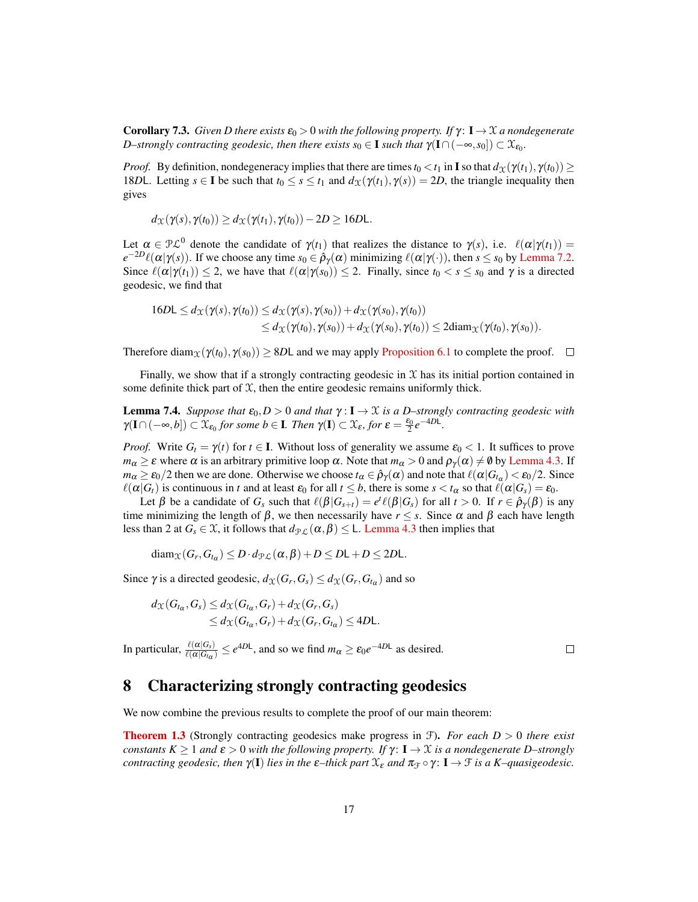**Corollary 7.3.** *Given D there exists*  $\varepsilon_0 > 0$  *with the following property. If*  $\gamma$ :  $I \rightarrow \mathcal{X}$  *a nondegenerate D*–strongly contracting geodesic, then there exists  $s_0 \in \mathbf{I}$  such that  $\gamma(\mathbf{I} \cap (-\infty, s_0]) \subset \mathfrak{X}_{\varepsilon_0}$ .

*Proof.* By definition, nondegeneracy implies that there are times  $t_0 < t_1$  in **I** so that  $d_X(\gamma(t_1), \gamma(t_0)) \ge$ 18*D*L. Letting  $s \in I$  be such that  $t_0 \leq s \leq t_1$  and  $d_X(\gamma(t_1), \gamma(s)) = 2D$ , the triangle inequality then gives

$$
d_{\mathcal{X}}(\gamma(s),\gamma(t_0)) \geq d_{\mathcal{X}}(\gamma(t_1),\gamma(t_0)) - 2D \geq 16D\mathsf{L}.
$$

Let  $\alpha \in \mathcal{PL}^0$  denote the candidate of  $\gamma(t_1)$  that realizes the distance to  $\gamma(s)$ , i.e.  $\ell(\alpha|\gamma(t_1)) =$  $e^{-2D}\ell(\alpha|\gamma(s))$ . If we choose any time  $s_0 \in \hat{\rho}_{\gamma}(\alpha)$  minimizing  $\ell(\alpha|\gamma(\cdot))$ , then  $s \leq s_0$  by [Lemma 7.2.](#page-15-1) Since  $\ell(\alpha|\gamma(t_1)) \leq 2$ , we have that  $\ell(\alpha|\gamma(s_0)) \leq 2$ . Finally, since  $t_0 < s \leq s_0$  and  $\gamma$  is a directed geodesic, we find that

$$
16D\mathsf{L} \leq d_{\mathcal{X}}(\gamma(s),\gamma(t_0)) \leq d_{\mathcal{X}}(\gamma(s),\gamma(s_0)) + d_{\mathcal{X}}(\gamma(s_0),\gamma(t_0))
$$
  

$$
\leq d_{\mathcal{X}}(\gamma(t_0),\gamma(s_0)) + d_{\mathcal{X}}(\gamma(s_0),\gamma(t_0)) \leq 2\mathrm{diam}_{\mathcal{X}}(\gamma(t_0),\gamma(s_0)).
$$

Therefore diam<sub> $X(Y(t_0), Y(s_0)) \ge 8D$ L and we may apply [Proposition 6.1](#page-13-1) to complete the proof.  $\Box$ </sub>

Finally, we show that if a strongly contracting geodesic in  $X$  has its initial portion contained in some definite thick part of  $X$ , then the entire geodesic remains uniformly thick.

<span id="page-16-0"></span>**Lemma 7.4.** *Suppose that*  $\varepsilon_0$ ,  $D > 0$  *and that*  $\gamma : I \to \mathcal{X}$  *is a D–strongly contracting geodesic with*  $\gamma(I \cap (-\infty, b]) \subset \mathfrak{X}_{\varepsilon_0}$  for some  $b \in I$ *. Then*  $\gamma(I) \subset \mathfrak{X}_{\varepsilon}$ , for  $\varepsilon = \frac{\varepsilon_0}{2} e^{-4D\mathsf{L}}$ *.* 

*Proof.* Write  $G_t = \gamma(t)$  for  $t \in I$ . Without loss of generality we assume  $\varepsilon_0 < 1$ . It suffices to prove *m*<sub>α</sub>  $\geq$  ε where  $\alpha$  is an arbitrary primitive loop  $\alpha$ . Note that  $m_{\alpha}$  > 0 and  $\rho_{\gamma}(\alpha) \neq \emptyset$  by [Lemma 4.3.](#page-9-0) If *m*<sub>α</sub>  $\geq \varepsilon_0/2$  then we are done. Otherwise we choose  $t_\alpha \in \hat{\rho}_\gamma(\alpha)$  and note that  $\ell(\alpha|G_{t_\alpha}) < \varepsilon_0/2$ . Since  $\ell(\alpha|G_t)$  is continuous in *t* and at least  $\varepsilon_0$  for all  $t \leq b$ , there is some  $s < t_\alpha$  so that  $\ell(\alpha|G_s) = \varepsilon_0$ .

Let  $\beta$  be a candidate of  $G_s$  such that  $\ell(\beta|G_{s+t}) = e^t \ell(\beta|G_s)$  for all  $t > 0$ . If  $r \in \hat{\rho}_{\gamma}(\beta)$  is any time minimizing the length of  $\beta$ , we then necessarily have  $r \leq s$ . Since  $\alpha$  and  $\beta$  each have length less than 2 at  $G_s \in \mathcal{X}$ , it follows that  $d_{\mathcal{PL}}(\alpha, \beta) \leq L$ . [Lemma 4.3](#page-9-0) then implies that

 $\text{diam}_{\mathcal{X}}(G_r, G_{t_\alpha}) \leq D \cdot d_{\mathcal{PL}}(\alpha, \beta) + D \leq D\mathsf{L} + D \leq 2D\mathsf{L}.$ 

Since  $\gamma$  is a directed geodesic,  $d_{\chi}(G_r, G_s) \leq d_{\chi}(G_r, G_{t_{\alpha}})$  and so

$$
d_{\mathcal{X}}(G_{t_{\alpha}}, G_s) \leq d_{\mathcal{X}}(G_{t_{\alpha}}, G_r) + d_{\mathcal{X}}(G_r, G_s)
$$
  
 
$$
\leq d_{\mathcal{X}}(G_{t_{\alpha}}, G_r) + d_{\mathcal{X}}(G_r, G_{t_{\alpha}}) \leq 4D\mathsf{L}.
$$

In particular,  $\frac{\ell(\alpha|G_s)}{\ell(\alpha|G_{t\alpha})} \leq e^{4D\mathsf{L}}$ , and so we find  $m_\alpha \geq \varepsilon_0 e^{-4D\mathsf{L}}$  as desired.

 $\Box$ 

### <span id="page-16-1"></span>8 Characterizing strongly contracting geodesics

We now combine the previous results to complete the proof of our main theorem:

[Theorem 1.3](#page-1-1) (Strongly contracting geodesics make progress in F). *For each D* > 0 *there exist constants K*  $\geq$  1 *and*  $\epsilon$  > 0 *with the following property. If*  $\gamma$ : **I**  $\rightarrow$  *X is a nondegenerate D–strongly contracting geodesic, then*  $\gamma(I)$  *lies in the*  $\varepsilon$ –thick part  $\mathfrak{X}_{\varepsilon}$  and  $\pi_{\mathfrak{X}} \circ \gamma$ :  $I \to \mathfrak{X}$  *is a K–quasigeodesic.*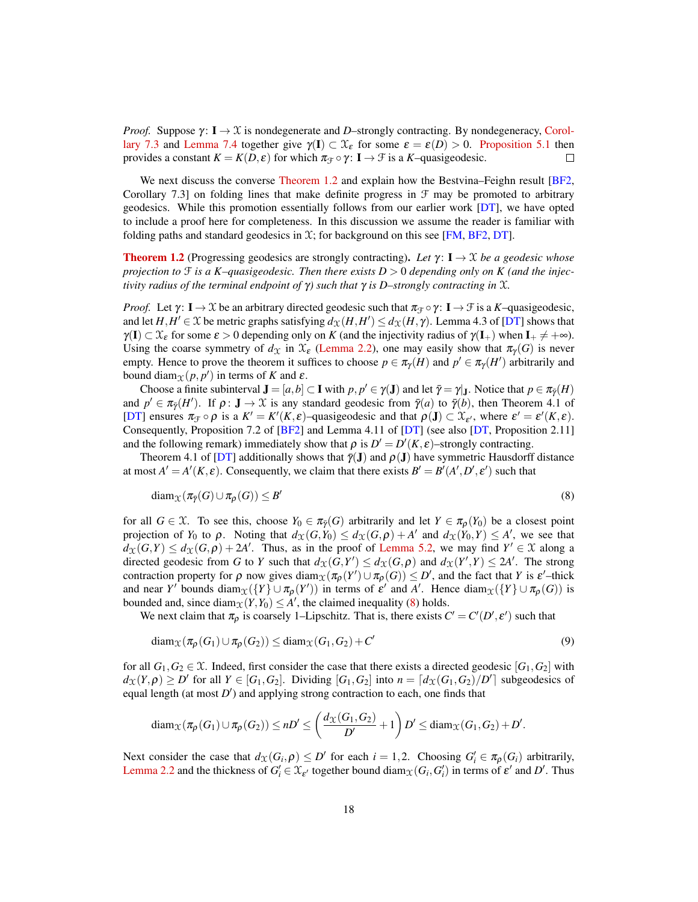*Proof.* Suppose  $\gamma: I \to \mathcal{X}$  is nondegenerate and *D*–strongly contracting. By nondegeneracy, [Corol](#page-15-0)[lary 7.3](#page-15-0) and [Lemma 7.4](#page-16-0) together give  $\gamma(I) \subset \mathcal{X}_{\varepsilon}$  for some  $\varepsilon = \varepsilon(D) > 0$ . [Proposition 5.1](#page-11-1) then provides a constant  $K = K(D, \varepsilon)$  for which  $\pi_{\mathcal{F}} \circ \gamma: I \to \mathcal{F}$  is a *K*–quasigeodesic. □

We next discuss the converse [Theorem 1.2](#page-1-0) and explain how the Bestvina–Feighn result [\[BF2,](#page-19-1) Corollary 7.3] on folding lines that make definite progress in  $\mathcal F$  may be promoted to arbitrary geodesics. While this promotion essentially follows from our earlier work [\[DT\]](#page-19-4), we have opted to include a proof here for completeness. In this discussion we assume the reader is familiar with folding paths and standard geodesics in  $\mathfrak{X}$ ; for background on this see [\[FM,](#page-19-11) [BF2,](#page-19-1) [DT\]](#page-19-4).

**[Theorem 1.2](#page-1-0)** (Progressing geodesics are strongly contracting). Let  $\gamma: I \to X$  be a geodesic whose *projection to* F *is a K–quasigeodesic. Then there exists D* > 0 *depending only on K (and the injectivity radius of the terminal endpoint of* γ*) such that* γ *is D–strongly contracting in* X*.*

*Proof.* Let  $\gamma: I \to \mathcal{X}$  be an arbitrary directed geodesic such that  $\pi_{\mathcal{F}} \circ \gamma: I \to \mathcal{F}$  is a *K*–quasigeodesic, and let  $H, H' \in \mathcal{X}$  be metric graphs satisfying  $d_{\mathcal{X}}(H, H') \leq d_{\mathcal{X}}(H, \gamma)$ . Lemma 4.3 of [\[DT\]](#page-19-4) shows that  $\gamma(I) \subset \mathcal{X}_{\varepsilon}$  for some  $\varepsilon > 0$  depending only on *K* (and the injectivity radius of  $\gamma(I_+)$  when  $I_+ \neq +\infty$ ). Using the coarse symmetry of  $d_{\mathcal{X}}$  in  $\mathcal{X}_{\epsilon}$  [\(Lemma 2.2\)](#page-4-0), one may easily show that  $\pi_{\gamma}(G)$  is never empty. Hence to prove the theorem it suffices to choose  $p \in \pi_{\gamma}(H)$  and  $p' \in \pi_{\gamma}(H')$  arbitrarily and bound diam $x(p, p')$  in terms of *K* and  $\varepsilon$ .

Choose a finite subinterval  $J = [a, b] \subset I$  with  $p, p' \in \gamma(J)$  and let  $\bar{\gamma} = \gamma|_J$ . Notice that  $p \in \pi_{\bar{\gamma}}(H)$ and  $p' \in \pi_{\bar{\gamma}}(H')$ . If  $\rho: \mathbf{J} \to \mathcal{X}$  is any standard geodesic from  $\bar{\gamma}(a)$  to  $\bar{\gamma}(b)$ , then Theorem 4.1 of [\[DT\]](#page-19-4) ensures  $\pi_{\mathcal{F}} \circ \rho$  is a  $K' = K'(K, \varepsilon)$ -quasigeodesic and that  $\rho(\mathbf{J}) \subset \mathcal{X}_{\varepsilon'}$ , where  $\varepsilon' = \varepsilon'(K, \varepsilon)$ . Consequently, Proposition 7.2 of [\[BF2\]](#page-19-1) and Lemma 4.11 of [\[DT\]](#page-19-4) (see also [\[DT,](#page-19-4) Proposition 2.11] and the following remark) immediately show that  $\rho$  is  $D' = D'(K, \varepsilon)$ -strongly contracting.

Theorem 4.1 of [\[DT\]](#page-19-4) additionally shows that  $\bar{\gamma}(\mathbf{J})$  and  $\rho(\mathbf{J})$  have symmetric Hausdorff distance at most  $A' = A'(K, \varepsilon)$ . Consequently, we claim that there exists  $B' = B'(A', D', \varepsilon')$  such that

<span id="page-17-0"></span>
$$
diam_{\mathcal{X}}(\pi_{\bar{\gamma}}(G) \cup \pi_{\rho}(G)) \leq B' \tag{8}
$$

for all  $G \in \mathcal{X}$ . To see this, choose  $Y_0 \in \pi_\gamma(G)$  arbitrarily and let  $Y \in \pi_\rho(Y_0)$  be a closest point projection of  $Y_0$  to  $\rho$ . Noting that  $d_X(G, Y_0) \le d_X(G, \rho) + A'$  and  $d_X(Y_0, Y) \le A'$ , we see that  $d_{\mathfrak{X}}(G,Y) \leq d_{\mathfrak{X}}(G,\rho) + 2A'$ . Thus, as in the proof of [Lemma 5.2,](#page-11-0) we may find  $Y' \in \mathfrak{X}$  along a directed geodesic from *G* to *Y* such that  $d_{\mathfrak{X}}(G, Y') \leq d_{\mathfrak{X}}(G, \rho)$  and  $d_{\mathfrak{X}}(Y', Y) \leq 2A'$ . The strong contraction property for  $\rho$  now gives  $\text{diam}_{\mathcal{X}}(\pi_{\rho}(Y') \cup \pi_{\rho}(G)) \leq D'$ , and the fact that *Y* is  $\varepsilon'$ -thick and near *Y*' bounds diam $_{\mathfrak{X}}(\lbrace Y \rbrace \cup \pi_{\rho}(Y'))$  in terms of  $\varepsilon'$  and A'. Hence diam $_{\mathfrak{X}}(\lbrace Y \rbrace \cup \pi_{\rho}(G))$  is bounded and, since diam $\chi(Y,Y_0) \leq A'$ , the claimed inequality [\(8\)](#page-17-0) holds.

We next claim that  $\pi_{\rho}$  is coarsely 1–Lipschitz. That is, there exists  $C' = C'(D', \varepsilon')$  such that

<span id="page-17-1"></span>
$$
diam_{\mathcal{X}}(\pi_{\rho}(G_1) \cup \pi_{\rho}(G_2)) \leq diam_{\mathcal{X}}(G_1, G_2) + C'
$$
\n(9)

for all  $G_1, G_2 \in \mathcal{X}$ . Indeed, first consider the case that there exists a directed geodesic [ $G_1, G_2$ ] with  $d_{\mathcal{X}}(Y,\rho) \ge D'$  for all  $Y \in [G_1,G_2]$ . Dividing  $[G_1,G_2]$  into  $n = [d_{\mathcal{X}}(G_1,G_2)/D']$  subgeodesics of equal length (at most *D'*) and applying strong contraction to each, one finds that

$$
\text{diam}_{\mathcal{X}}(\pi_{\rho}(G_1)\cup \pi_{\rho}(G_2))\leq nD'\leq \left(\frac{d_{\mathcal{X}}(G_1,G_2)}{D'}+1\right)D'\leq \text{diam}_{\mathcal{X}}(G_1,G_2)+D'.
$$

Next consider the case that  $d_{\mathcal{X}}(G_i, \rho) \le D'$  for each  $i = 1, 2$ . Choosing  $G'_i \in \pi_{\rho}(G_i)$  arbitrarily, [Lemma 2.2](#page-4-0) and the thickness of  $G'_i \in \mathfrak{X}_{\varepsilon'}$  together bound diam $\chi(G_i, G'_i)$  in terms of  $\varepsilon'$  and  $D'$ . Thus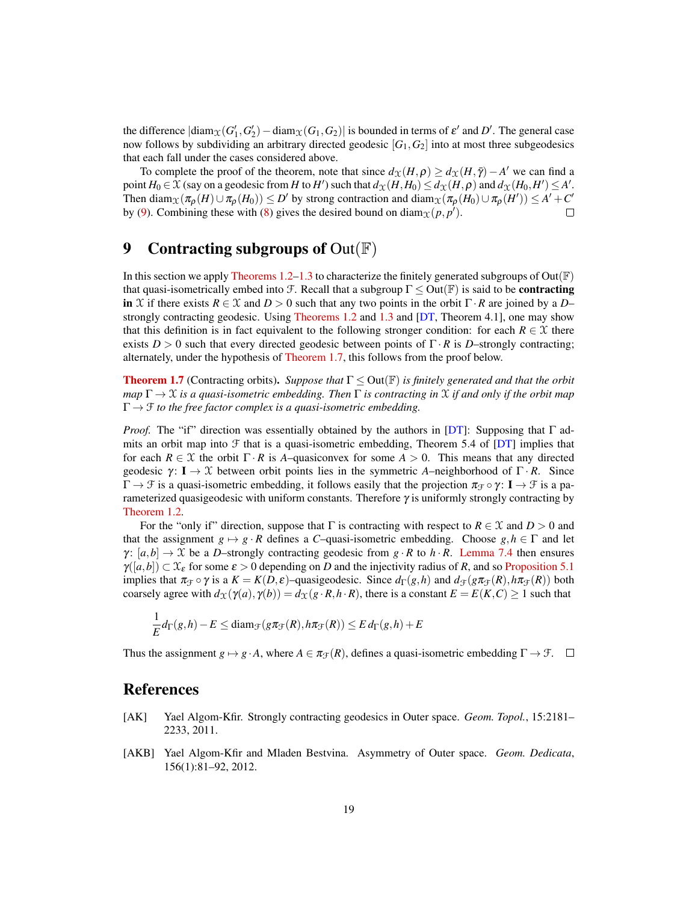the difference  $|\text{diam}_\mathcal{X}(G_1', G_2') - \text{diam}_\mathcal{X}(G_1, G_2)|$  is bounded in terms of  $\varepsilon'$  and  $D'$ . The general case now follows by subdividing an arbitrary directed geodesic  $[G_1, G_2]$  into at most three subgeodesics that each fall under the cases considered above.

To complete the proof of the theorem, note that since  $d_{\mathcal{X}}(H,\rho) \geq d_{\mathcal{X}}(H,\bar{\gamma}) - A'$  we can find a point  $H_0 \in \mathcal{X}$  (say on a geodesic from  $H$  to  $H'$ ) such that  $d_{\mathcal{X}}(H,H_0) \leq d_{\mathcal{X}}(H,\rho)$  and  $d_{\mathcal{X}}(H_0,H') \leq A'.$ Then  $\text{diam}_{\mathcal{X}}(\pi_{\rho}(H) \cup \pi_{\rho}(H_0)) \le D'$  by strong contraction and  $\text{diam}_{\mathcal{X}}(\pi_{\rho}(H_0) \cup \pi_{\rho}(H')) \le A' + C'$ by [\(9\)](#page-17-1). Combining these with [\(8\)](#page-17-0) gives the desired bound on diam $x(p, p')$ . П

# 9 Contracting subgroups of  $Out(\mathbb{F})$

In this section we apply [Theorems 1.2](#page-1-0)[–1.3](#page-1-1) to characterize the finitely generated subgroups of Out( $\mathbb{F}$ ) that quasi-isometrically embed into F. Recall that a subgroup  $\Gamma \leq Out(\mathbb{F})$  is said to be **contracting** in X if there exists  $R \in \mathcal{X}$  and  $D > 0$  such that any two points in the orbit  $\Gamma \cdot R$  are joined by a D– strongly contracting geodesic. Using [Theorems 1.2](#page-1-0) and [1.3](#page-1-1) and [\[DT,](#page-19-4) Theorem 4.1], one may show that this definition is in fact equivalent to the following stronger condition: for each  $R \in \mathcal{X}$  there exists  $D > 0$  such that every directed geodesic between points of  $\Gamma \cdot R$  is *D*–strongly contracting; alternately, under the hypothesis of [Theorem 1.7,](#page-1-2) this follows from the proof below.

[Theorem 1.7](#page-1-2) (Contracting orbits). *Suppose that* Γ ≤ Out(F) *is finitely generated and that the orbit map* Γ → X *is a quasi-isometric embedding. Then* Γ *is contracting in* X *if and only if the orbit map*  $\Gamma \rightarrow \mathcal{F}$  *to the free factor complex is a quasi-isometric embedding.* 

*Proof.* The "if" direction was essentially obtained by the authors in [\[DT\]](#page-19-4): Supposing that Γ admits an orbit map into  $\mathcal F$  that is a quasi-isometric embedding, Theorem 5.4 of [\[DT\]](#page-19-4) implies that for each  $R \in \mathcal{X}$  the orbit  $\Gamma \cdot R$  is *A*–quasiconvex for some  $A > 0$ . This means that any directed geodesic  $\gamma$ : **I**  $\rightarrow$  X between orbit points lies in the symmetric *A*–neighborhood of Γ · *R*. Since  $\Gamma \to \mathcal{F}$  is a quasi-isometric embedding, it follows easily that the projection  $\pi_{\mathcal{F}} \circ \gamma$ :  $\mathbf{I} \to \mathcal{F}$  is a parameterized quasigeodesic with uniform constants. Therefore  $\gamma$  is uniformly strongly contracting by [Theorem 1.2.](#page-1-0)

For the "only if" direction, suppose that  $\Gamma$  is contracting with respect to  $R \in \mathcal{X}$  and  $D > 0$  and that the assignment  $g \mapsto g \cdot R$  defines a *C*–quasi-isometric embedding. Choose  $g, h \in \Gamma$  and let  $\gamma$ : [a,b]  $\rightarrow \mathcal{X}$  be a D–strongly contracting geodesic from g · R to h · R. [Lemma 7.4](#page-16-0) then ensures  $\gamma([a,b]) \subset \mathcal{X}_{\varepsilon}$  for some  $\varepsilon > 0$  depending on *D* and the injectivity radius of *R*, and so [Proposition 5.1](#page-11-1) implies that  $\pi_{\mathcal{F}} \circ \gamma$  is a  $K = K(D, \varepsilon)$ –quasigeodesic. Since  $d_{\Gamma}(g, h)$  and  $d_{\mathcal{F}}(g \pi_{\mathcal{F}}(R), h \pi_{\mathcal{F}}(R))$  both coarsely agree with  $d_X(\gamma(a), \gamma(b)) = d_X(g \cdot R, h \cdot R)$ , there is a constant  $E = E(K, C) \ge 1$  such that

$$
\frac{1}{E}d_{\Gamma}(g,h)-E \leq \text{diam}_{\mathcal{F}}(g\pi_{\mathcal{F}}(R),h\pi_{\mathcal{F}}(R)) \leq E d_{\Gamma}(g,h)+E
$$

Thus the assignment  $g \mapsto g \cdot A$ , where  $A \in \pi_{\mathcal{F}}(R)$ , defines a quasi-isometric embedding  $\Gamma \to \mathcal{F}$ .  $\square$ 

#### References

- <span id="page-18-0"></span>[AK] Yael Algom-Kfir. Strongly contracting geodesics in Outer space. *Geom. Topol.*, 15:2181– 2233, 2011.
- <span id="page-18-1"></span>[AKB] Yael Algom-Kfir and Mladen Bestvina. Asymmetry of Outer space. *Geom. Dedicata*, 156(1):81–92, 2012.